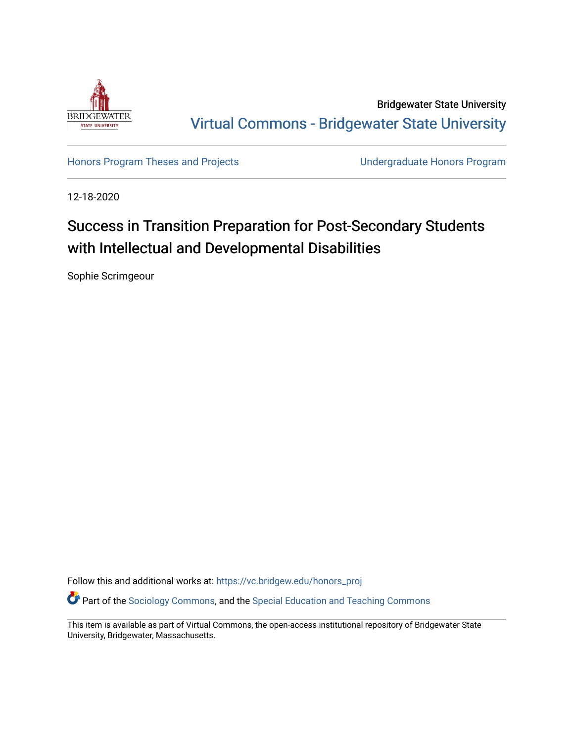

Bridgewater State University [Virtual Commons - Bridgewater State University](https://vc.bridgew.edu/) 

[Honors Program Theses and Projects](https://vc.bridgew.edu/honors_proj) [Undergraduate Honors Program](https://vc.bridgew.edu/honors) 

12-18-2020

# Success in Transition Preparation for Post-Secondary Students with Intellectual and Developmental Disabilities

Sophie Scrimgeour

Follow this and additional works at: [https://vc.bridgew.edu/honors\\_proj](https://vc.bridgew.edu/honors_proj?utm_source=vc.bridgew.edu%2Fhonors_proj%2F446&utm_medium=PDF&utm_campaign=PDFCoverPages)

Part of the [Sociology Commons](http://network.bepress.com/hgg/discipline/416?utm_source=vc.bridgew.edu%2Fhonors_proj%2F446&utm_medium=PDF&utm_campaign=PDFCoverPages), and the [Special Education and Teaching Commons](http://network.bepress.com/hgg/discipline/801?utm_source=vc.bridgew.edu%2Fhonors_proj%2F446&utm_medium=PDF&utm_campaign=PDFCoverPages)

This item is available as part of Virtual Commons, the open-access institutional repository of Bridgewater State University, Bridgewater, Massachusetts.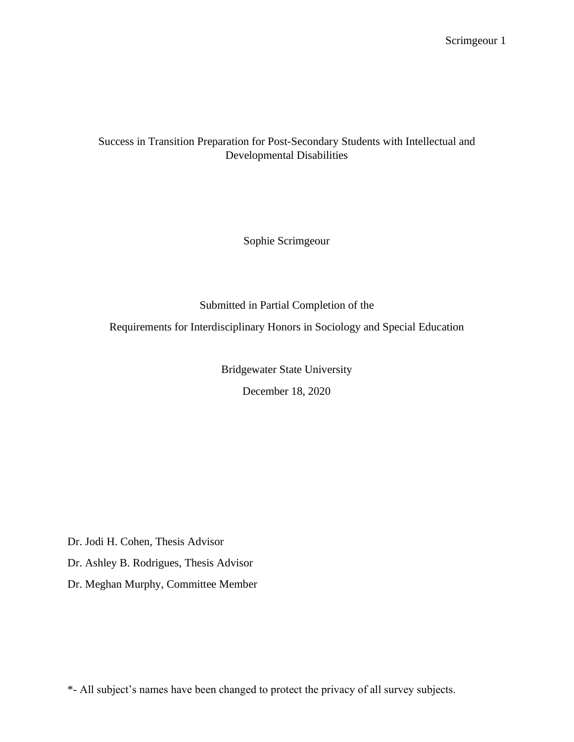## Success in Transition Preparation for Post-Secondary Students with Intellectual and Developmental Disabilities

Sophie Scrimgeour

Submitted in Partial Completion of the

Requirements for Interdisciplinary Honors in Sociology and Special Education

Bridgewater State University

December 18, 2020

Dr. Jodi H. Cohen, Thesis Advisor

Dr. Ashley B. Rodrigues, Thesis Advisor

Dr. Meghan Murphy, Committee Member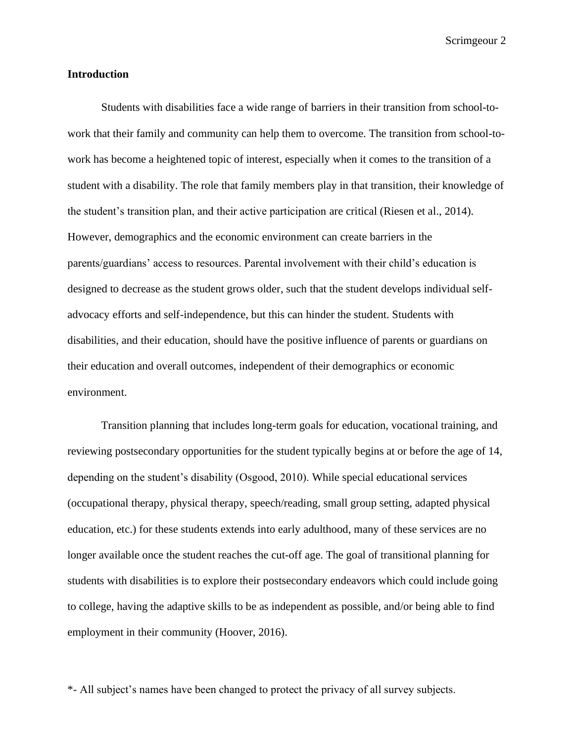#### **Introduction**

Students with disabilities face a wide range of barriers in their transition from school-towork that their family and community can help them to overcome. The transition from school-towork has become a heightened topic of interest, especially when it comes to the transition of a student with a disability. The role that family members play in that transition, their knowledge of the student's transition plan, and their active participation are critical (Riesen et al., 2014). However, demographics and the economic environment can create barriers in the parents/guardians' access to resources. Parental involvement with their child's education is designed to decrease as the student grows older, such that the student develops individual selfadvocacy efforts and self-independence, but this can hinder the student. Students with disabilities, and their education, should have the positive influence of parents or guardians on their education and overall outcomes, independent of their demographics or economic environment.

Transition planning that includes long-term goals for education, vocational training, and reviewing postsecondary opportunities for the student typically begins at or before the age of 14, depending on the student's disability (Osgood, 2010). While special educational services (occupational therapy, physical therapy, speech/reading, small group setting, adapted physical education, etc.) for these students extends into early adulthood, many of these services are no longer available once the student reaches the cut-off age. The goal of transitional planning for students with disabilities is to explore their postsecondary endeavors which could include going to college, having the adaptive skills to be as independent as possible, and/or being able to find employment in their community (Hoover, 2016).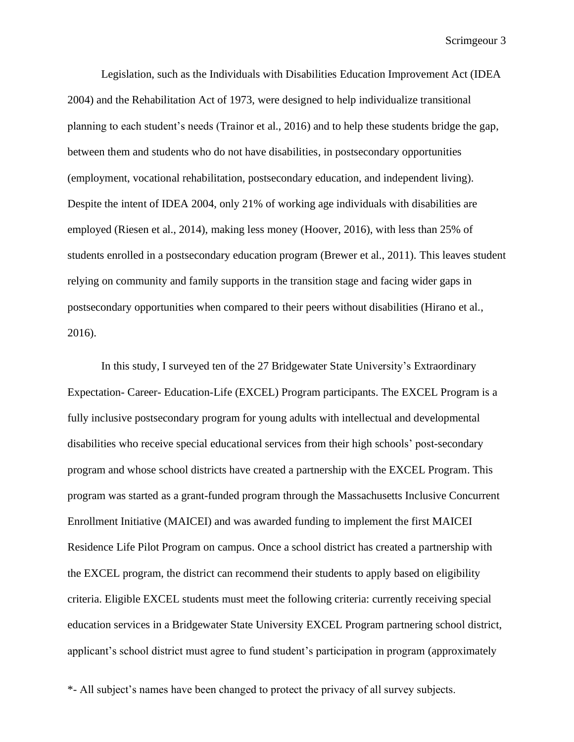Legislation, such as the Individuals with Disabilities Education Improvement Act (IDEA 2004) and the Rehabilitation Act of 1973, were designed to help individualize transitional planning to each student's needs (Trainor et al., 2016) and to help these students bridge the gap, between them and students who do not have disabilities, in postsecondary opportunities (employment, vocational rehabilitation, postsecondary education, and independent living). Despite the intent of IDEA 2004, only 21% of working age individuals with disabilities are employed (Riesen et al., 2014), making less money (Hoover, 2016), with less than 25% of students enrolled in a postsecondary education program (Brewer et al., 2011). This leaves student relying on community and family supports in the transition stage and facing wider gaps in postsecondary opportunities when compared to their peers without disabilities (Hirano et al., 2016).

In this study, I surveyed ten of the 27 Bridgewater State University's Extraordinary Expectation- Career- Education-Life (EXCEL) Program participants. The EXCEL Program is a fully inclusive postsecondary program for young adults with intellectual and developmental disabilities who receive special educational services from their high schools' post-secondary program and whose school districts have created a partnership with the EXCEL Program. This program was started as a grant-funded program through the Massachusetts Inclusive Concurrent Enrollment Initiative (MAICEI) and was awarded funding to implement the first MAICEI Residence Life Pilot Program on campus. Once a school district has created a partnership with the EXCEL program, the district can recommend their students to apply based on eligibility criteria. Eligible EXCEL students must meet the following criteria: currently receiving special education services in a Bridgewater State University EXCEL Program partnering school district, applicant's school district must agree to fund student's participation in program (approximately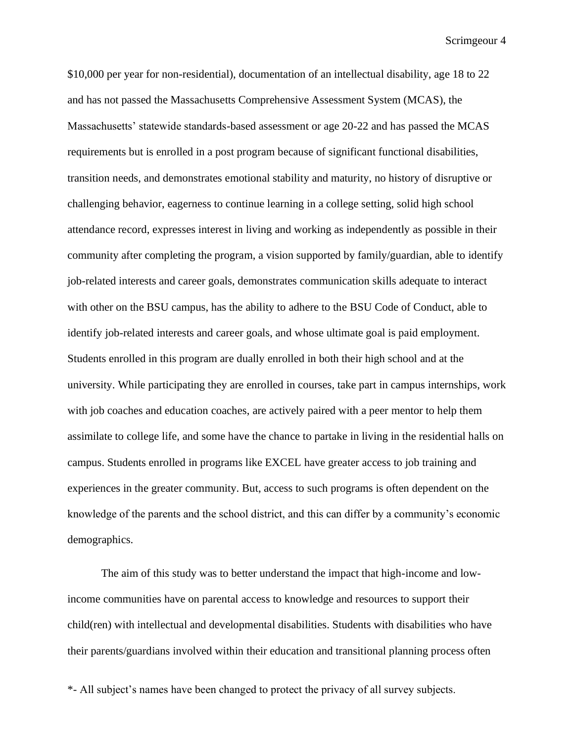\$10,000 per year for non-residential), documentation of an intellectual disability, age 18 to 22 and has not passed the Massachusetts Comprehensive Assessment System (MCAS), the Massachusetts' statewide standards-based assessment or age 20-22 and has passed the MCAS requirements but is enrolled in a post program because of significant functional disabilities, transition needs, and demonstrates emotional stability and maturity, no history of disruptive or challenging behavior, eagerness to continue learning in a college setting, solid high school attendance record, expresses interest in living and working as independently as possible in their community after completing the program, a vision supported by family/guardian, able to identify job-related interests and career goals, demonstrates communication skills adequate to interact with other on the BSU campus, has the ability to adhere to the BSU Code of Conduct, able to identify job-related interests and career goals, and whose ultimate goal is paid employment. Students enrolled in this program are dually enrolled in both their high school and at the university. While participating they are enrolled in courses, take part in campus internships, work with job coaches and education coaches, are actively paired with a peer mentor to help them assimilate to college life, and some have the chance to partake in living in the residential halls on campus. Students enrolled in programs like EXCEL have greater access to job training and experiences in the greater community. But, access to such programs is often dependent on the knowledge of the parents and the school district, and this can differ by a community's economic demographics.

The aim of this study was to better understand the impact that high-income and lowincome communities have on parental access to knowledge and resources to support their child(ren) with intellectual and developmental disabilities. Students with disabilities who have their parents/guardians involved within their education and transitional planning process often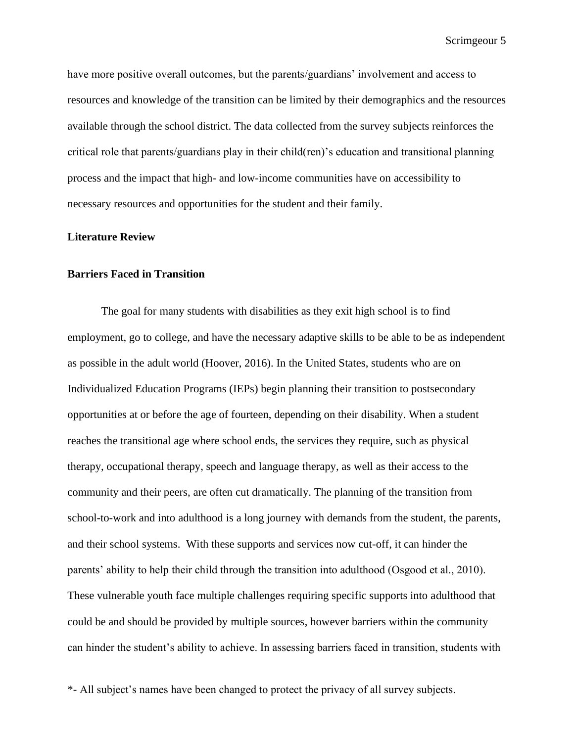have more positive overall outcomes, but the parents/guardians' involvement and access to resources and knowledge of the transition can be limited by their demographics and the resources available through the school district. The data collected from the survey subjects reinforces the critical role that parents/guardians play in their child(ren)'s education and transitional planning process and the impact that high- and low-income communities have on accessibility to necessary resources and opportunities for the student and their family.

#### **Literature Review**

#### **Barriers Faced in Transition**

The goal for many students with disabilities as they exit high school is to find employment, go to college, and have the necessary adaptive skills to be able to be as independent as possible in the adult world (Hoover, 2016). In the United States, students who are on Individualized Education Programs (IEPs) begin planning their transition to postsecondary opportunities at or before the age of fourteen, depending on their disability. When a student reaches the transitional age where school ends, the services they require, such as physical therapy, occupational therapy, speech and language therapy, as well as their access to the community and their peers, are often cut dramatically. The planning of the transition from school-to-work and into adulthood is a long journey with demands from the student, the parents, and their school systems. With these supports and services now cut-off, it can hinder the parents' ability to help their child through the transition into adulthood (Osgood et al., 2010). These vulnerable youth face multiple challenges requiring specific supports into adulthood that could be and should be provided by multiple sources, however barriers within the community can hinder the student's ability to achieve. In assessing barriers faced in transition, students with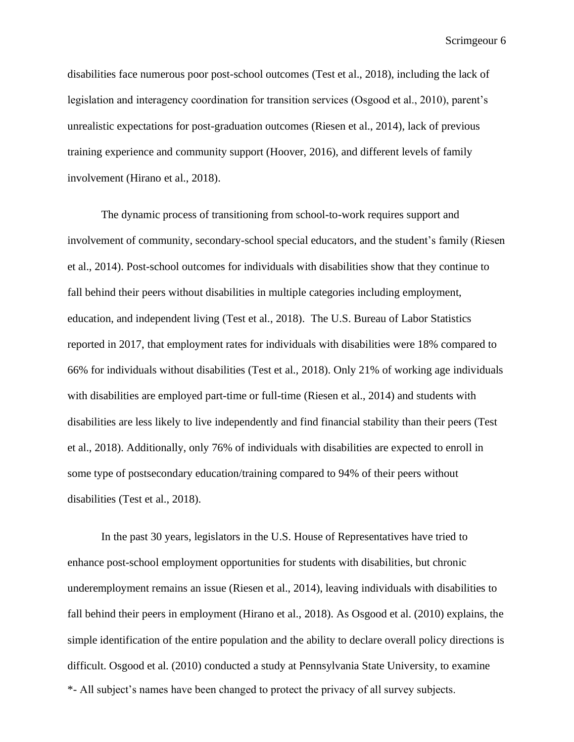disabilities face numerous poor post-school outcomes (Test et al., 2018), including the lack of legislation and interagency coordination for transition services (Osgood et al., 2010), parent's unrealistic expectations for post-graduation outcomes (Riesen et al., 2014), lack of previous training experience and community support (Hoover, 2016), and different levels of family involvement (Hirano et al., 2018).

The dynamic process of transitioning from school-to-work requires support and involvement of community, secondary-school special educators, and the student's family (Riesen et al., 2014). Post-school outcomes for individuals with disabilities show that they continue to fall behind their peers without disabilities in multiple categories including employment, education, and independent living (Test et al., 2018). The U.S. Bureau of Labor Statistics reported in 2017, that employment rates for individuals with disabilities were 18% compared to 66% for individuals without disabilities (Test et al., 2018). Only 21% of working age individuals with disabilities are employed part-time or full-time (Riesen et al., 2014) and students with disabilities are less likely to live independently and find financial stability than their peers (Test et al., 2018). Additionally, only 76% of individuals with disabilities are expected to enroll in some type of postsecondary education/training compared to 94% of their peers without disabilities (Test et al., 2018).

\*- All subject's names have been changed to protect the privacy of all survey subjects. In the past 30 years, legislators in the U.S. House of Representatives have tried to enhance post-school employment opportunities for students with disabilities, but chronic underemployment remains an issue (Riesen et al., 2014), leaving individuals with disabilities to fall behind their peers in employment (Hirano et al., 2018). As Osgood et al. (2010) explains, the simple identification of the entire population and the ability to declare overall policy directions is difficult. Osgood et al. (2010) conducted a study at Pennsylvania State University, to examine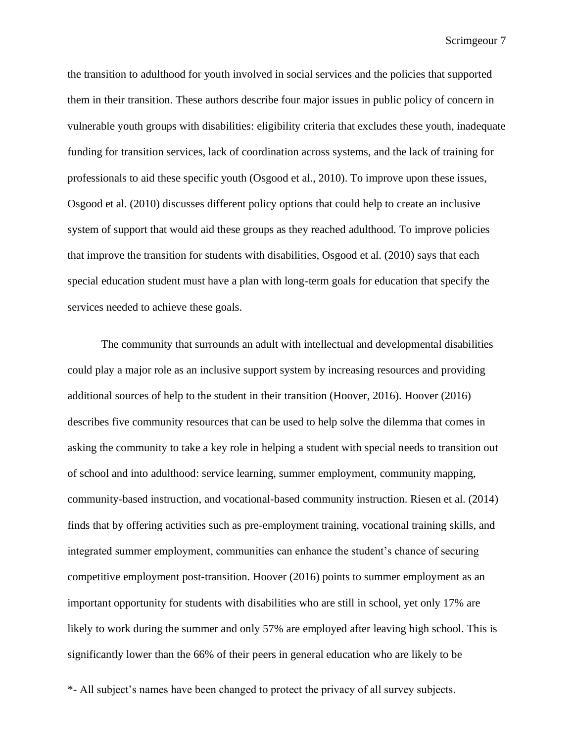the transition to adulthood for youth involved in social services and the policies that supported them in their transition. These authors describe four major issues in public policy of concern in vulnerable youth groups with disabilities: eligibility criteria that excludes these youth, inadequate funding for transition services, lack of coordination across systems, and the lack of training for professionals to aid these specific youth (Osgood et al., 2010). To improve upon these issues, Osgood et al. (2010) discusses different policy options that could help to create an inclusive system of support that would aid these groups as they reached adulthood. To improve policies that improve the transition for students with disabilities, Osgood et al. (2010) says that each special education student must have a plan with long-term goals for education that specify the services needed to achieve these goals.

The community that surrounds an adult with intellectual and developmental disabilities could play a major role as an inclusive support system by increasing resources and providing additional sources of help to the student in their transition (Hoover, 2016). Hoover (2016) describes five community resources that can be used to help solve the dilemma that comes in asking the community to take a key role in helping a student with special needs to transition out of school and into adulthood: service learning, summer employment, community mapping, community-based instruction, and vocational-based community instruction. Riesen et al. (2014) finds that by offering activities such as pre-employment training, vocational training skills, and integrated summer employment, communities can enhance the student's chance of securing competitive employment post-transition. Hoover (2016) points to summer employment as an important opportunity for students with disabilities who are still in school, yet only 17% are likely to work during the summer and only 57% are employed after leaving high school. This is significantly lower than the 66% of their peers in general education who are likely to be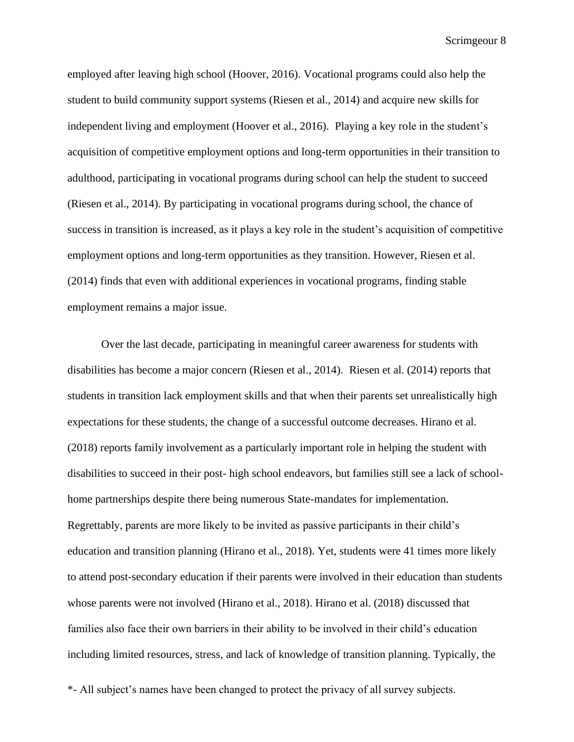employed after leaving high school (Hoover, 2016). Vocational programs could also help the student to build community support systems (Riesen et al., 2014) and acquire new skills for independent living and employment (Hoover et al., 2016). Playing a key role in the student's acquisition of competitive employment options and long-term opportunities in their transition to adulthood, participating in vocational programs during school can help the student to succeed (Riesen et al., 2014). By participating in vocational programs during school, the chance of success in transition is increased, as it plays a key role in the student's acquisition of competitive employment options and long-term opportunities as they transition. However, Riesen et al. (2014) finds that even with additional experiences in vocational programs, finding stable employment remains a major issue.

Over the last decade, participating in meaningful career awareness for students with disabilities has become a major concern (Riesen et al., 2014). Riesen et al. (2014) reports that students in transition lack employment skills and that when their parents set unrealistically high expectations for these students, the change of a successful outcome decreases. Hirano et al. (2018) reports family involvement as a particularly important role in helping the student with disabilities to succeed in their post- high school endeavors, but families still see a lack of schoolhome partnerships despite there being numerous State-mandates for implementation. Regrettably, parents are more likely to be invited as passive participants in their child's education and transition planning (Hirano et al., 2018). Yet, students were 41 times more likely to attend post-secondary education if their parents were involved in their education than students whose parents were not involved (Hirano et al., 2018). Hirano et al. (2018) discussed that families also face their own barriers in their ability to be involved in their child's education including limited resources, stress, and lack of knowledge of transition planning. Typically, the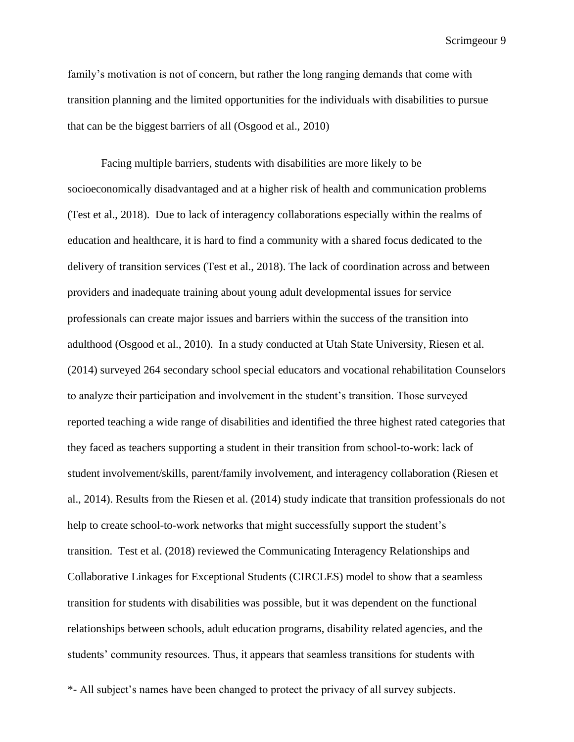family's motivation is not of concern, but rather the long ranging demands that come with transition planning and the limited opportunities for the individuals with disabilities to pursue that can be the biggest barriers of all (Osgood et al., 2010)

Facing multiple barriers, students with disabilities are more likely to be socioeconomically disadvantaged and at a higher risk of health and communication problems (Test et al., 2018). Due to lack of interagency collaborations especially within the realms of education and healthcare, it is hard to find a community with a shared focus dedicated to the delivery of transition services (Test et al., 2018). The lack of coordination across and between providers and inadequate training about young adult developmental issues for service professionals can create major issues and barriers within the success of the transition into adulthood (Osgood et al., 2010). In a study conducted at Utah State University, Riesen et al. (2014) surveyed 264 secondary school special educators and vocational rehabilitation Counselors to analyze their participation and involvement in the student's transition. Those surveyed reported teaching a wide range of disabilities and identified the three highest rated categories that they faced as teachers supporting a student in their transition from school-to-work: lack of student involvement/skills, parent/family involvement, and interagency collaboration (Riesen et al., 2014). Results from the Riesen et al. (2014) study indicate that transition professionals do not help to create school-to-work networks that might successfully support the student's transition. Test et al. (2018) reviewed the Communicating Interagency Relationships and Collaborative Linkages for Exceptional Students (CIRCLES) model to show that a seamless transition for students with disabilities was possible, but it was dependent on the functional relationships between schools, adult education programs, disability related agencies, and the students' community resources. Thus, it appears that seamless transitions for students with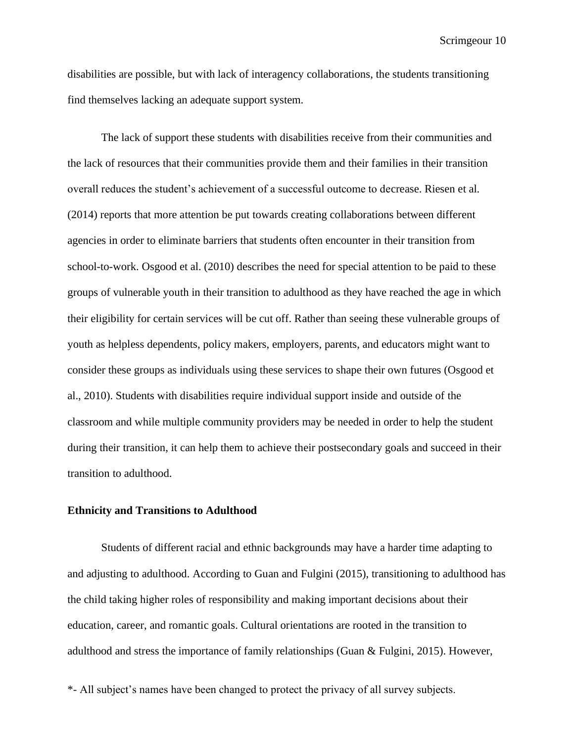disabilities are possible, but with lack of interagency collaborations, the students transitioning find themselves lacking an adequate support system.

The lack of support these students with disabilities receive from their communities and the lack of resources that their communities provide them and their families in their transition overall reduces the student's achievement of a successful outcome to decrease. Riesen et al. (2014) reports that more attention be put towards creating collaborations between different agencies in order to eliminate barriers that students often encounter in their transition from school-to-work. Osgood et al. (2010) describes the need for special attention to be paid to these groups of vulnerable youth in their transition to adulthood as they have reached the age in which their eligibility for certain services will be cut off. Rather than seeing these vulnerable groups of youth as helpless dependents, policy makers, employers, parents, and educators might want to consider these groups as individuals using these services to shape their own futures (Osgood et al., 2010). Students with disabilities require individual support inside and outside of the classroom and while multiple community providers may be needed in order to help the student during their transition, it can help them to achieve their postsecondary goals and succeed in their transition to adulthood.

### **Ethnicity and Transitions to Adulthood**

Students of different racial and ethnic backgrounds may have a harder time adapting to and adjusting to adulthood. According to Guan and Fulgini (2015), transitioning to adulthood has the child taking higher roles of responsibility and making important decisions about their education, career, and romantic goals. Cultural orientations are rooted in the transition to adulthood and stress the importance of family relationships (Guan & Fulgini, 2015). However,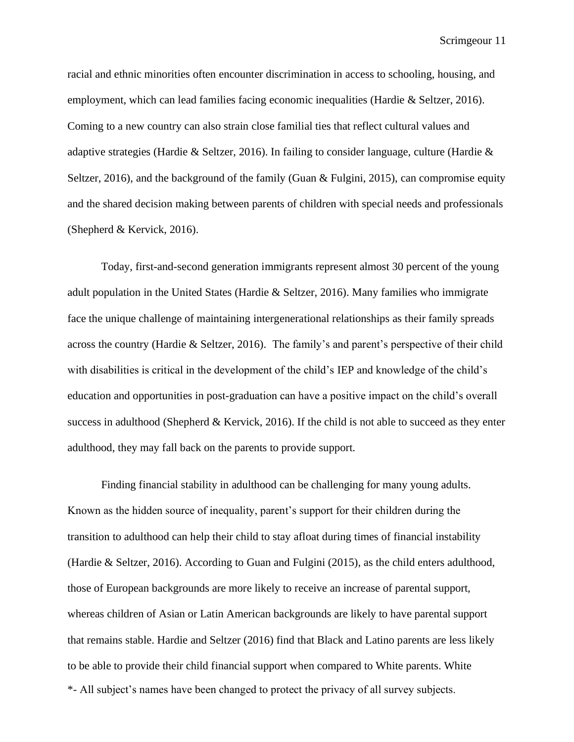racial and ethnic minorities often encounter discrimination in access to schooling, housing, and employment, which can lead families facing economic inequalities (Hardie & Seltzer, 2016). Coming to a new country can also strain close familial ties that reflect cultural values and adaptive strategies (Hardie & Seltzer, 2016). In failing to consider language, culture (Hardie & Seltzer, 2016), and the background of the family (Guan & Fulgini, 2015), can compromise equity and the shared decision making between parents of children with special needs and professionals (Shepherd & Kervick, 2016).

Today, first-and-second generation immigrants represent almost 30 percent of the young adult population in the United States (Hardie & Seltzer, 2016). Many families who immigrate face the unique challenge of maintaining intergenerational relationships as their family spreads across the country (Hardie & Seltzer, 2016). The family's and parent's perspective of their child with disabilities is critical in the development of the child's IEP and knowledge of the child's education and opportunities in post-graduation can have a positive impact on the child's overall success in adulthood (Shepherd & Kervick, 2016). If the child is not able to succeed as they enter adulthood, they may fall back on the parents to provide support.

\*- All subject's names have been changed to protect the privacy of all survey subjects. Finding financial stability in adulthood can be challenging for many young adults. Known as the hidden source of inequality, parent's support for their children during the transition to adulthood can help their child to stay afloat during times of financial instability (Hardie & Seltzer, 2016). According to Guan and Fulgini (2015), as the child enters adulthood, those of European backgrounds are more likely to receive an increase of parental support, whereas children of Asian or Latin American backgrounds are likely to have parental support that remains stable. Hardie and Seltzer (2016) find that Black and Latino parents are less likely to be able to provide their child financial support when compared to White parents. White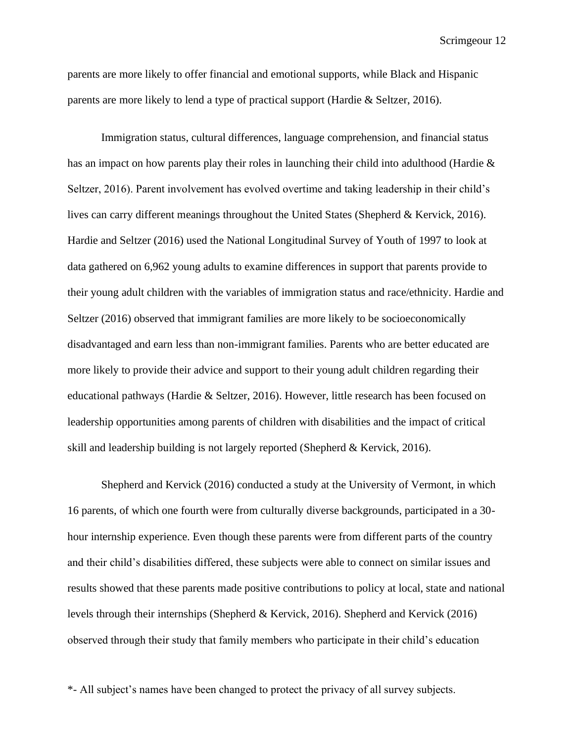parents are more likely to offer financial and emotional supports, while Black and Hispanic parents are more likely to lend a type of practical support (Hardie & Seltzer, 2016).

Immigration status, cultural differences, language comprehension, and financial status has an impact on how parents play their roles in launching their child into adulthood (Hardie & Seltzer, 2016). Parent involvement has evolved overtime and taking leadership in their child's lives can carry different meanings throughout the United States (Shepherd & Kervick, 2016). Hardie and Seltzer (2016) used the National Longitudinal Survey of Youth of 1997 to look at data gathered on 6,962 young adults to examine differences in support that parents provide to their young adult children with the variables of immigration status and race/ethnicity. Hardie and Seltzer (2016) observed that immigrant families are more likely to be socioeconomically disadvantaged and earn less than non-immigrant families. Parents who are better educated are more likely to provide their advice and support to their young adult children regarding their educational pathways (Hardie & Seltzer, 2016). However, little research has been focused on leadership opportunities among parents of children with disabilities and the impact of critical skill and leadership building is not largely reported (Shepherd & Kervick, 2016).

Shepherd and Kervick (2016) conducted a study at the University of Vermont, in which 16 parents, of which one fourth were from culturally diverse backgrounds, participated in a 30 hour internship experience. Even though these parents were from different parts of the country and their child's disabilities differed, these subjects were able to connect on similar issues and results showed that these parents made positive contributions to policy at local, state and national levels through their internships (Shepherd & Kervick, 2016). Shepherd and Kervick (2016) observed through their study that family members who participate in their child's education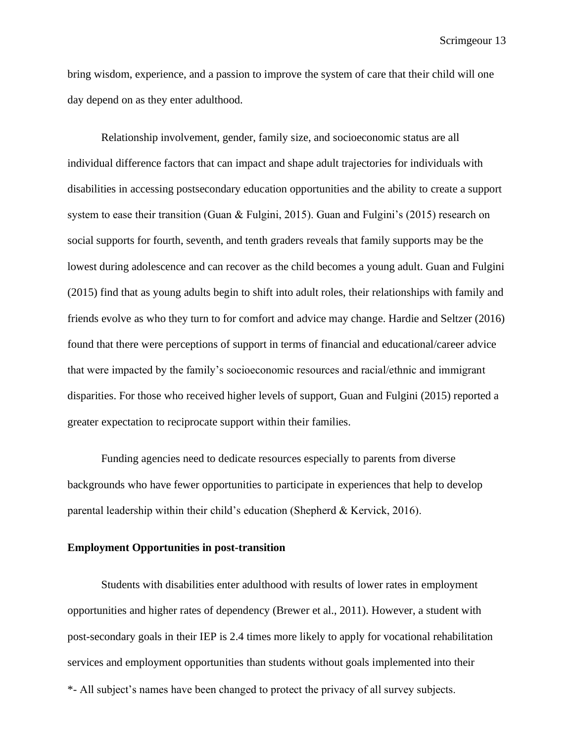bring wisdom, experience, and a passion to improve the system of care that their child will one day depend on as they enter adulthood.

Relationship involvement, gender, family size, and socioeconomic status are all individual difference factors that can impact and shape adult trajectories for individuals with disabilities in accessing postsecondary education opportunities and the ability to create a support system to ease their transition (Guan & Fulgini, 2015). Guan and Fulgini's (2015) research on social supports for fourth, seventh, and tenth graders reveals that family supports may be the lowest during adolescence and can recover as the child becomes a young adult. Guan and Fulgini (2015) find that as young adults begin to shift into adult roles, their relationships with family and friends evolve as who they turn to for comfort and advice may change. Hardie and Seltzer (2016) found that there were perceptions of support in terms of financial and educational/career advice that were impacted by the family's socioeconomic resources and racial/ethnic and immigrant disparities. For those who received higher levels of support, Guan and Fulgini (2015) reported a greater expectation to reciprocate support within their families.

Funding agencies need to dedicate resources especially to parents from diverse backgrounds who have fewer opportunities to participate in experiences that help to develop parental leadership within their child's education (Shepherd & Kervick, 2016).

#### **Employment Opportunities in post-transition**

\*- All subject's names have been changed to protect the privacy of all survey subjects. Students with disabilities enter adulthood with results of lower rates in employment opportunities and higher rates of dependency (Brewer et al., 2011). However, a student with post-secondary goals in their IEP is 2.4 times more likely to apply for vocational rehabilitation services and employment opportunities than students without goals implemented into their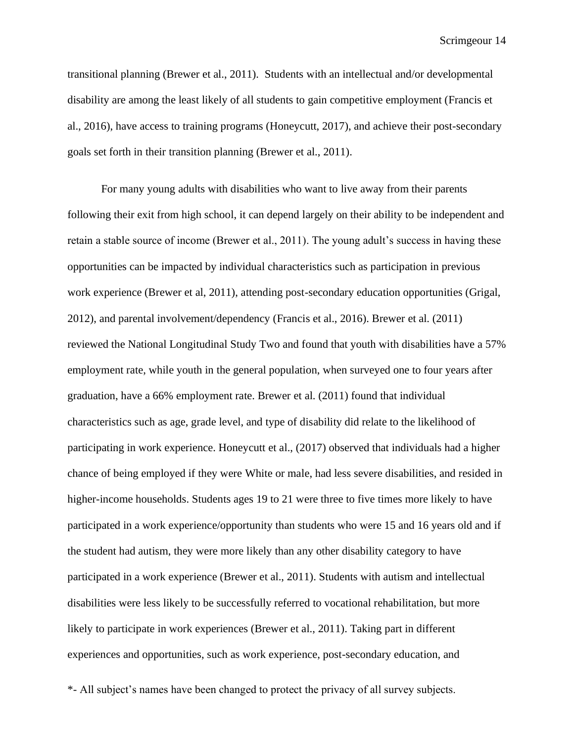transitional planning (Brewer et al., 2011). Students with an intellectual and/or developmental disability are among the least likely of all students to gain competitive employment (Francis et al., 2016), have access to training programs (Honeycutt, 2017), and achieve their post-secondary goals set forth in their transition planning (Brewer et al., 2011).

For many young adults with disabilities who want to live away from their parents following their exit from high school, it can depend largely on their ability to be independent and retain a stable source of income (Brewer et al., 2011). The young adult's success in having these opportunities can be impacted by individual characteristics such as participation in previous work experience (Brewer et al, 2011), attending post-secondary education opportunities (Grigal, 2012), and parental involvement/dependency (Francis et al., 2016). Brewer et al. (2011) reviewed the National Longitudinal Study Two and found that youth with disabilities have a 57% employment rate, while youth in the general population, when surveyed one to four years after graduation, have a 66% employment rate. Brewer et al. (2011) found that individual characteristics such as age, grade level, and type of disability did relate to the likelihood of participating in work experience. Honeycutt et al., (2017) observed that individuals had a higher chance of being employed if they were White or male, had less severe disabilities, and resided in higher-income households. Students ages 19 to 21 were three to five times more likely to have participated in a work experience/opportunity than students who were 15 and 16 years old and if the student had autism, they were more likely than any other disability category to have participated in a work experience (Brewer et al., 2011). Students with autism and intellectual disabilities were less likely to be successfully referred to vocational rehabilitation, but more likely to participate in work experiences (Brewer et al., 2011). Taking part in different experiences and opportunities, such as work experience, post-secondary education, and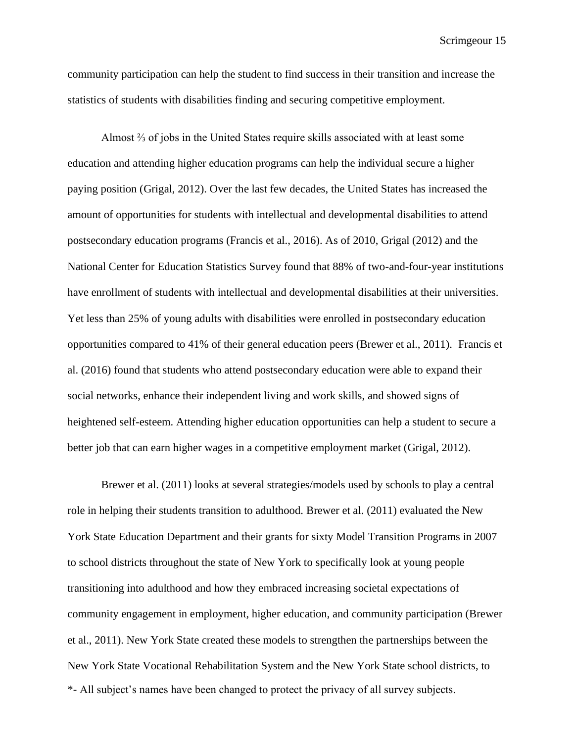community participation can help the student to find success in their transition and increase the statistics of students with disabilities finding and securing competitive employment.

Almost ⅔ of jobs in the United States require skills associated with at least some education and attending higher education programs can help the individual secure a higher paying position (Grigal, 2012). Over the last few decades, the United States has increased the amount of opportunities for students with intellectual and developmental disabilities to attend postsecondary education programs (Francis et al., 2016). As of 2010, Grigal (2012) and the National Center for Education Statistics Survey found that 88% of two-and-four-year institutions have enrollment of students with intellectual and developmental disabilities at their universities. Yet less than 25% of young adults with disabilities were enrolled in postsecondary education opportunities compared to 41% of their general education peers (Brewer et al., 2011). Francis et al. (2016) found that students who attend postsecondary education were able to expand their social networks, enhance their independent living and work skills, and showed signs of heightened self-esteem. Attending higher education opportunities can help a student to secure a better job that can earn higher wages in a competitive employment market (Grigal, 2012).

\*- All subject's names have been changed to protect the privacy of all survey subjects. Brewer et al. (2011) looks at several strategies/models used by schools to play a central role in helping their students transition to adulthood. Brewer et al. (2011) evaluated the New York State Education Department and their grants for sixty Model Transition Programs in 2007 to school districts throughout the state of New York to specifically look at young people transitioning into adulthood and how they embraced increasing societal expectations of community engagement in employment, higher education, and community participation (Brewer et al., 2011). New York State created these models to strengthen the partnerships between the New York State Vocational Rehabilitation System and the New York State school districts, to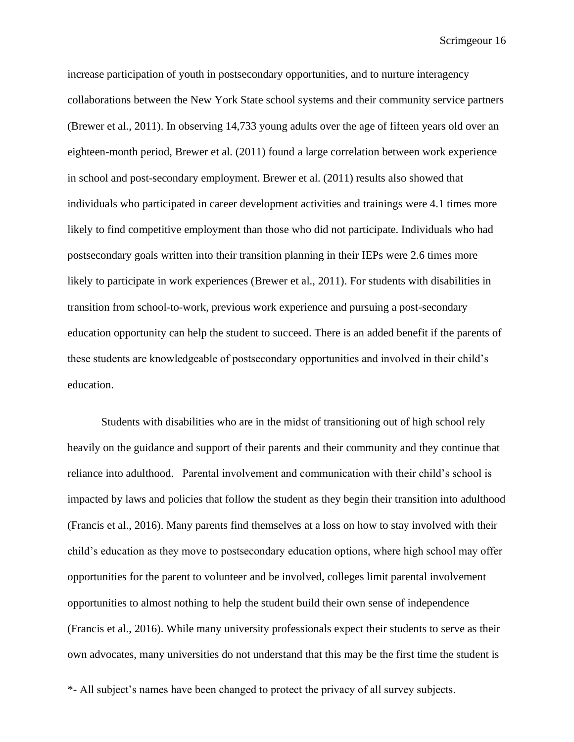increase participation of youth in postsecondary opportunities, and to nurture interagency collaborations between the New York State school systems and their community service partners (Brewer et al., 2011). In observing 14,733 young adults over the age of fifteen years old over an eighteen-month period, Brewer et al. (2011) found a large correlation between work experience in school and post-secondary employment. Brewer et al. (2011) results also showed that individuals who participated in career development activities and trainings were 4.1 times more likely to find competitive employment than those who did not participate. Individuals who had postsecondary goals written into their transition planning in their IEPs were 2.6 times more likely to participate in work experiences (Brewer et al., 2011). For students with disabilities in transition from school-to-work, previous work experience and pursuing a post-secondary education opportunity can help the student to succeed. There is an added benefit if the parents of these students are knowledgeable of postsecondary opportunities and involved in their child's education.

Students with disabilities who are in the midst of transitioning out of high school rely heavily on the guidance and support of their parents and their community and they continue that reliance into adulthood. Parental involvement and communication with their child's school is impacted by laws and policies that follow the student as they begin their transition into adulthood (Francis et al., 2016). Many parents find themselves at a loss on how to stay involved with their child's education as they move to postsecondary education options, where high school may offer opportunities for the parent to volunteer and be involved, colleges limit parental involvement opportunities to almost nothing to help the student build their own sense of independence (Francis et al., 2016). While many university professionals expect their students to serve as their own advocates, many universities do not understand that this may be the first time the student is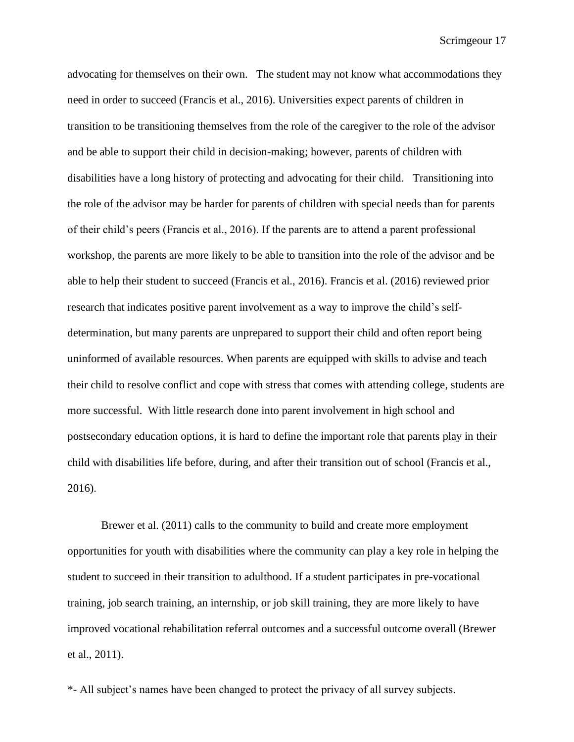advocating for themselves on their own. The student may not know what accommodations they need in order to succeed (Francis et al., 2016). Universities expect parents of children in transition to be transitioning themselves from the role of the caregiver to the role of the advisor and be able to support their child in decision-making; however, parents of children with disabilities have a long history of protecting and advocating for their child. Transitioning into the role of the advisor may be harder for parents of children with special needs than for parents of their child's peers (Francis et al., 2016). If the parents are to attend a parent professional workshop, the parents are more likely to be able to transition into the role of the advisor and be able to help their student to succeed (Francis et al., 2016). Francis et al. (2016) reviewed prior research that indicates positive parent involvement as a way to improve the child's selfdetermination, but many parents are unprepared to support their child and often report being uninformed of available resources. When parents are equipped with skills to advise and teach their child to resolve conflict and cope with stress that comes with attending college, students are more successful. With little research done into parent involvement in high school and postsecondary education options, it is hard to define the important role that parents play in their child with disabilities life before, during, and after their transition out of school (Francis et al., 2016).

Brewer et al. (2011) calls to the community to build and create more employment opportunities for youth with disabilities where the community can play a key role in helping the student to succeed in their transition to adulthood. If a student participates in pre-vocational training, job search training, an internship, or job skill training, they are more likely to have improved vocational rehabilitation referral outcomes and a successful outcome overall (Brewer et al., 2011).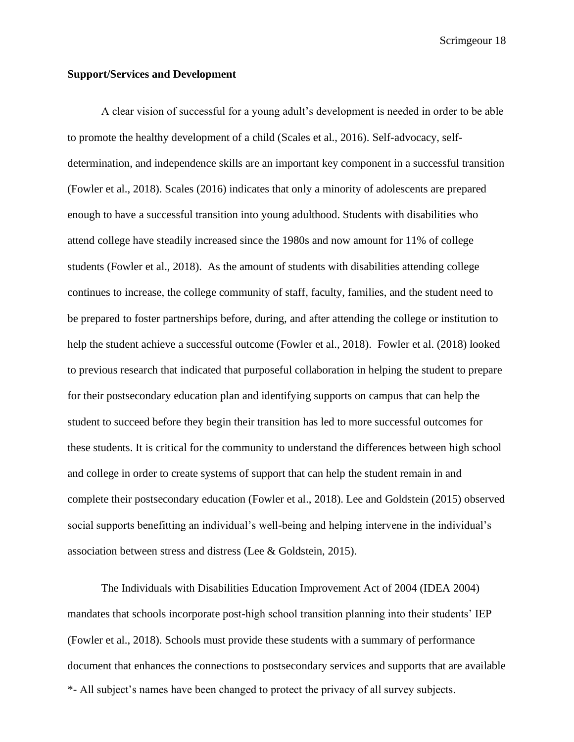#### **Support/Services and Development**

A clear vision of successful for a young adult's development is needed in order to be able to promote the healthy development of a child (Scales et al., 2016). Self-advocacy, selfdetermination, and independence skills are an important key component in a successful transition (Fowler et al., 2018). Scales (2016) indicates that only a minority of adolescents are prepared enough to have a successful transition into young adulthood. Students with disabilities who attend college have steadily increased since the 1980s and now amount for 11% of college students (Fowler et al., 2018). As the amount of students with disabilities attending college continues to increase, the college community of staff, faculty, families, and the student need to be prepared to foster partnerships before, during, and after attending the college or institution to help the student achieve a successful outcome (Fowler et al., 2018). Fowler et al. (2018) looked to previous research that indicated that purposeful collaboration in helping the student to prepare for their postsecondary education plan and identifying supports on campus that can help the student to succeed before they begin their transition has led to more successful outcomes for these students. It is critical for the community to understand the differences between high school and college in order to create systems of support that can help the student remain in and complete their postsecondary education (Fowler et al., 2018). Lee and Goldstein (2015) observed social supports benefitting an individual's well-being and helping intervene in the individual's association between stress and distress (Lee & Goldstein, 2015).

\*- All subject's names have been changed to protect the privacy of all survey subjects. The Individuals with Disabilities Education Improvement Act of 2004 (IDEA 2004) mandates that schools incorporate post-high school transition planning into their students' IEP (Fowler et al., 2018). Schools must provide these students with a summary of performance document that enhances the connections to postsecondary services and supports that are available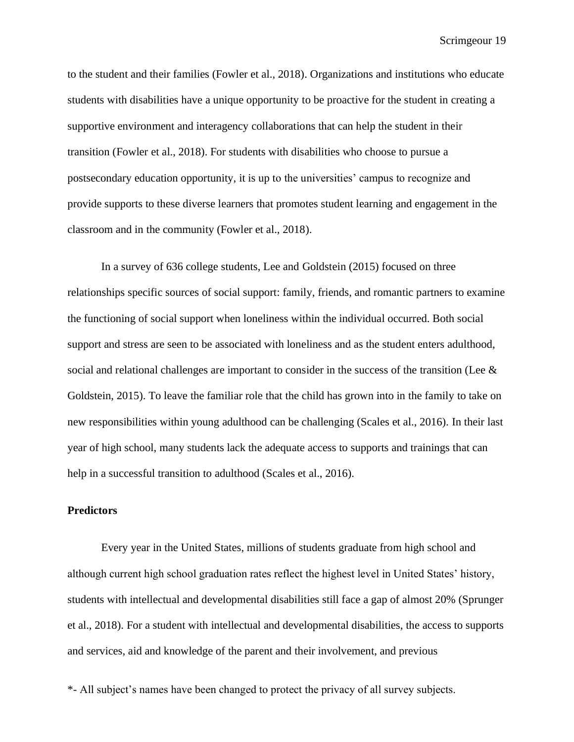to the student and their families (Fowler et al., 2018). Organizations and institutions who educate students with disabilities have a unique opportunity to be proactive for the student in creating a supportive environment and interagency collaborations that can help the student in their transition (Fowler et al., 2018). For students with disabilities who choose to pursue a postsecondary education opportunity, it is up to the universities' campus to recognize and provide supports to these diverse learners that promotes student learning and engagement in the classroom and in the community (Fowler et al., 2018).

In a survey of 636 college students, Lee and Goldstein (2015) focused on three relationships specific sources of social support: family, friends, and romantic partners to examine the functioning of social support when loneliness within the individual occurred. Both social support and stress are seen to be associated with loneliness and as the student enters adulthood, social and relational challenges are important to consider in the success of the transition (Lee & Goldstein, 2015). To leave the familiar role that the child has grown into in the family to take on new responsibilities within young adulthood can be challenging (Scales et al., 2016). In their last year of high school, many students lack the adequate access to supports and trainings that can help in a successful transition to adulthood (Scales et al., 2016).

## **Predictors**

Every year in the United States, millions of students graduate from high school and although current high school graduation rates reflect the highest level in United States' history, students with intellectual and developmental disabilities still face a gap of almost 20% (Sprunger et al., 2018). For a student with intellectual and developmental disabilities, the access to supports and services, aid and knowledge of the parent and their involvement, and previous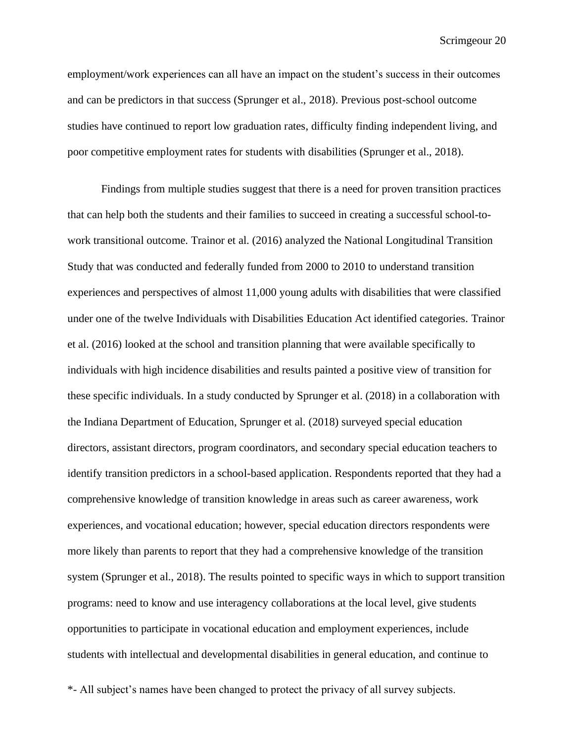employment/work experiences can all have an impact on the student's success in their outcomes and can be predictors in that success (Sprunger et al., 2018). Previous post-school outcome studies have continued to report low graduation rates, difficulty finding independent living, and poor competitive employment rates for students with disabilities (Sprunger et al., 2018).

Findings from multiple studies suggest that there is a need for proven transition practices that can help both the students and their families to succeed in creating a successful school-towork transitional outcome. Trainor et al. (2016) analyzed the National Longitudinal Transition Study that was conducted and federally funded from 2000 to 2010 to understand transition experiences and perspectives of almost 11,000 young adults with disabilities that were classified under one of the twelve Individuals with Disabilities Education Act identified categories. Trainor et al. (2016) looked at the school and transition planning that were available specifically to individuals with high incidence disabilities and results painted a positive view of transition for these specific individuals. In a study conducted by Sprunger et al. (2018) in a collaboration with the Indiana Department of Education, Sprunger et al. (2018) surveyed special education directors, assistant directors, program coordinators, and secondary special education teachers to identify transition predictors in a school-based application. Respondents reported that they had a comprehensive knowledge of transition knowledge in areas such as career awareness, work experiences, and vocational education; however, special education directors respondents were more likely than parents to report that they had a comprehensive knowledge of the transition system (Sprunger et al., 2018). The results pointed to specific ways in which to support transition programs: need to know and use interagency collaborations at the local level, give students opportunities to participate in vocational education and employment experiences, include students with intellectual and developmental disabilities in general education, and continue to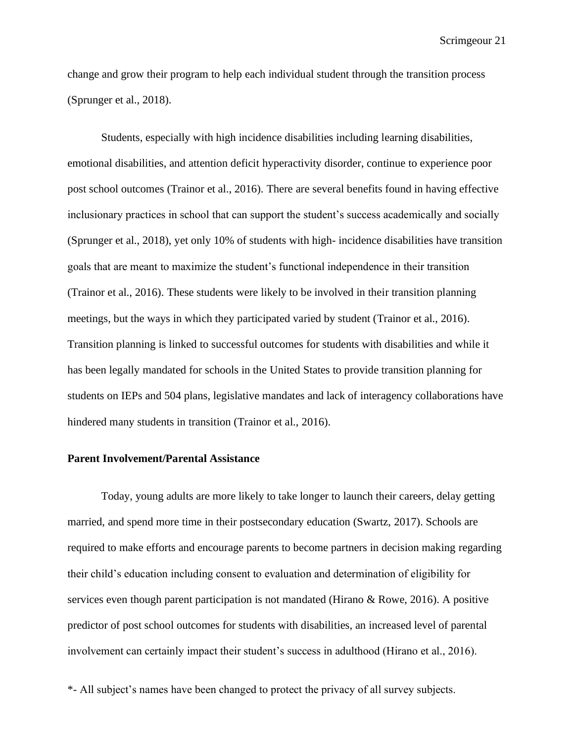change and grow their program to help each individual student through the transition process (Sprunger et al., 2018).

Students, especially with high incidence disabilities including learning disabilities, emotional disabilities, and attention deficit hyperactivity disorder, continue to experience poor post school outcomes (Trainor et al., 2016). There are several benefits found in having effective inclusionary practices in school that can support the student's success academically and socially (Sprunger et al., 2018), yet only 10% of students with high- incidence disabilities have transition goals that are meant to maximize the student's functional independence in their transition (Trainor et al., 2016). These students were likely to be involved in their transition planning meetings, but the ways in which they participated varied by student (Trainor et al., 2016). Transition planning is linked to successful outcomes for students with disabilities and while it has been legally mandated for schools in the United States to provide transition planning for students on IEPs and 504 plans, legislative mandates and lack of interagency collaborations have hindered many students in transition (Trainor et al., 2016).

## **Parent Involvement/Parental Assistance**

Today, young adults are more likely to take longer to launch their careers, delay getting married, and spend more time in their postsecondary education (Swartz, 2017). Schools are required to make efforts and encourage parents to become partners in decision making regarding their child's education including consent to evaluation and determination of eligibility for services even though parent participation is not mandated (Hirano & Rowe, 2016). A positive predictor of post school outcomes for students with disabilities, an increased level of parental involvement can certainly impact their student's success in adulthood (Hirano et al., 2016).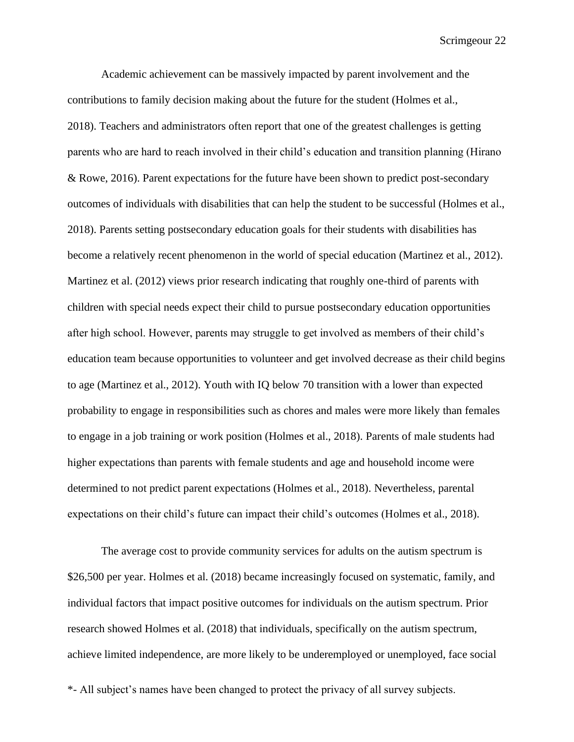Academic achievement can be massively impacted by parent involvement and the contributions to family decision making about the future for the student (Holmes et al., 2018). Teachers and administrators often report that one of the greatest challenges is getting parents who are hard to reach involved in their child's education and transition planning (Hirano & Rowe, 2016). Parent expectations for the future have been shown to predict post-secondary outcomes of individuals with disabilities that can help the student to be successful (Holmes et al., 2018). Parents setting postsecondary education goals for their students with disabilities has become a relatively recent phenomenon in the world of special education (Martinez et al., 2012). Martinez et al. (2012) views prior research indicating that roughly one-third of parents with children with special needs expect their child to pursue postsecondary education opportunities after high school. However, parents may struggle to get involved as members of their child's education team because opportunities to volunteer and get involved decrease as their child begins to age (Martinez et al., 2012). Youth with IQ below 70 transition with a lower than expected probability to engage in responsibilities such as chores and males were more likely than females to engage in a job training or work position (Holmes et al., 2018). Parents of male students had higher expectations than parents with female students and age and household income were determined to not predict parent expectations (Holmes et al., 2018). Nevertheless, parental expectations on their child's future can impact their child's outcomes (Holmes et al., 2018).

The average cost to provide community services for adults on the autism spectrum is \$26,500 per year. Holmes et al. (2018) became increasingly focused on systematic, family, and individual factors that impact positive outcomes for individuals on the autism spectrum. Prior research showed Holmes et al. (2018) that individuals, specifically on the autism spectrum, achieve limited independence, are more likely to be underemployed or unemployed, face social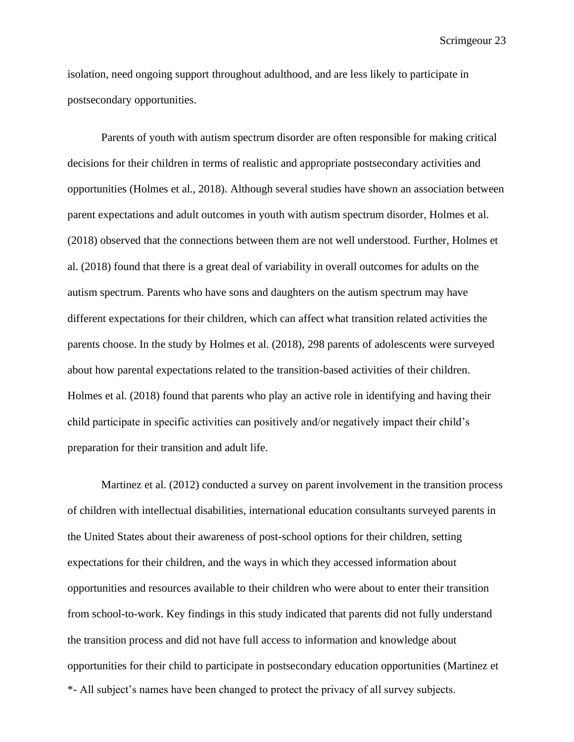isolation, need ongoing support throughout adulthood, and are less likely to participate in postsecondary opportunities.

Parents of youth with autism spectrum disorder are often responsible for making critical decisions for their children in terms of realistic and appropriate postsecondary activities and opportunities (Holmes et al., 2018). Although several studies have shown an association between parent expectations and adult outcomes in youth with autism spectrum disorder, Holmes et al. (2018) observed that the connections between them are not well understood. Further, Holmes et al. (2018) found that there is a great deal of variability in overall outcomes for adults on the autism spectrum. Parents who have sons and daughters on the autism spectrum may have different expectations for their children, which can affect what transition related activities the parents choose. In the study by Holmes et al. (2018), 298 parents of adolescents were surveyed about how parental expectations related to the transition-based activities of their children. Holmes et al. (2018) found that parents who play an active role in identifying and having their child participate in specific activities can positively and/or negatively impact their child's preparation for their transition and adult life.

\*- All subject's names have been changed to protect the privacy of all survey subjects. Martinez et al. (2012) conducted a survey on parent involvement in the transition process of children with intellectual disabilities, international education consultants surveyed parents in the United States about their awareness of post-school options for their children, setting expectations for their children, and the ways in which they accessed information about opportunities and resources available to their children who were about to enter their transition from school-to-work. Key findings in this study indicated that parents did not fully understand the transition process and did not have full access to information and knowledge about opportunities for their child to participate in postsecondary education opportunities (Martinez et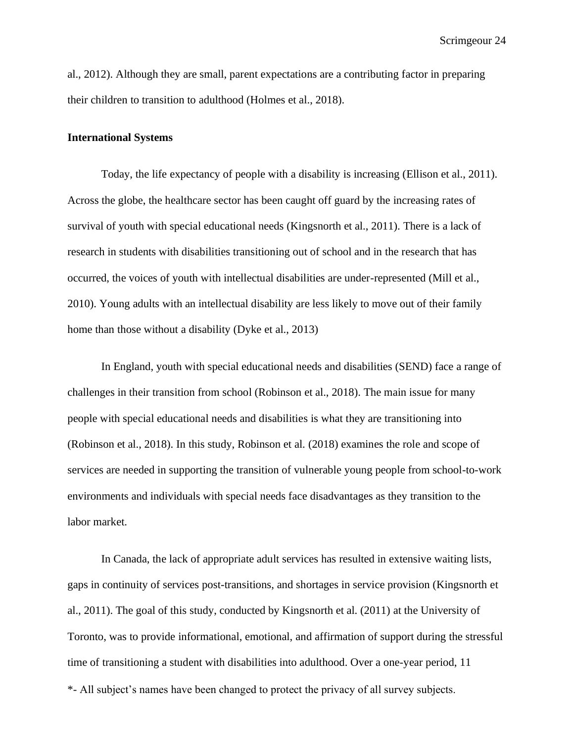al., 2012). Although they are small, parent expectations are a contributing factor in preparing their children to transition to adulthood (Holmes et al., 2018).

#### **International Systems**

Today, the life expectancy of people with a disability is increasing (Ellison et al., 2011). Across the globe, the healthcare sector has been caught off guard by the increasing rates of survival of youth with special educational needs (Kingsnorth et al., 2011). There is a lack of research in students with disabilities transitioning out of school and in the research that has occurred, the voices of youth with intellectual disabilities are under-represented (Mill et al., 2010). Young adults with an intellectual disability are less likely to move out of their family home than those without a disability (Dyke et al., 2013)

In England, youth with special educational needs and disabilities (SEND) face a range of challenges in their transition from school (Robinson et al., 2018). The main issue for many people with special educational needs and disabilities is what they are transitioning into (Robinson et al., 2018). In this study, Robinson et al. (2018) examines the role and scope of services are needed in supporting the transition of vulnerable young people from school-to-work environments and individuals with special needs face disadvantages as they transition to the labor market.

\*- All subject's names have been changed to protect the privacy of all survey subjects. In Canada, the lack of appropriate adult services has resulted in extensive waiting lists, gaps in continuity of services post-transitions, and shortages in service provision (Kingsnorth et al., 2011). The goal of this study, conducted by Kingsnorth et al. (2011) at the University of Toronto, was to provide informational, emotional, and affirmation of support during the stressful time of transitioning a student with disabilities into adulthood. Over a one-year period, 11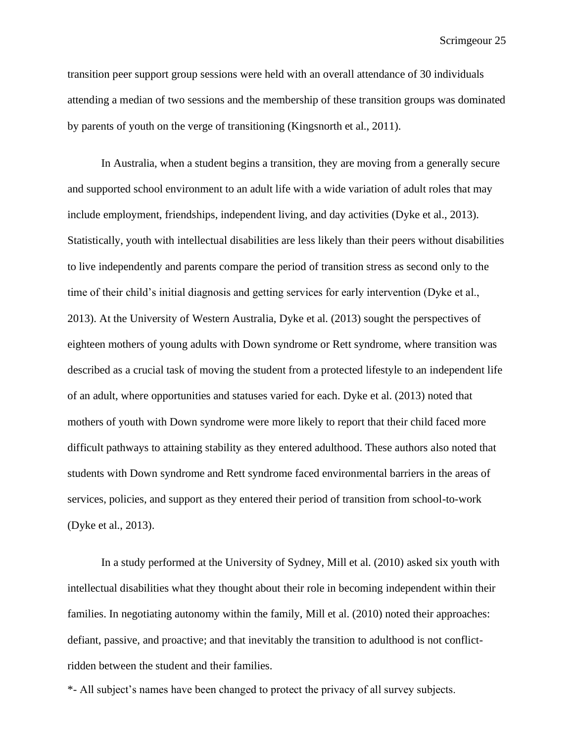transition peer support group sessions were held with an overall attendance of 30 individuals attending a median of two sessions and the membership of these transition groups was dominated by parents of youth on the verge of transitioning (Kingsnorth et al., 2011).

In Australia, when a student begins a transition, they are moving from a generally secure and supported school environment to an adult life with a wide variation of adult roles that may include employment, friendships, independent living, and day activities (Dyke et al., 2013). Statistically, youth with intellectual disabilities are less likely than their peers without disabilities to live independently and parents compare the period of transition stress as second only to the time of their child's initial diagnosis and getting services for early intervention (Dyke et al., 2013). At the University of Western Australia, Dyke et al. (2013) sought the perspectives of eighteen mothers of young adults with Down syndrome or Rett syndrome, where transition was described as a crucial task of moving the student from a protected lifestyle to an independent life of an adult, where opportunities and statuses varied for each. Dyke et al. (2013) noted that mothers of youth with Down syndrome were more likely to report that their child faced more difficult pathways to attaining stability as they entered adulthood. These authors also noted that students with Down syndrome and Rett syndrome faced environmental barriers in the areas of services, policies, and support as they entered their period of transition from school-to-work (Dyke et al., 2013).

In a study performed at the University of Sydney, Mill et al. (2010) asked six youth with intellectual disabilities what they thought about their role in becoming independent within their families. In negotiating autonomy within the family, Mill et al. (2010) noted their approaches: defiant, passive, and proactive; and that inevitably the transition to adulthood is not conflictridden between the student and their families.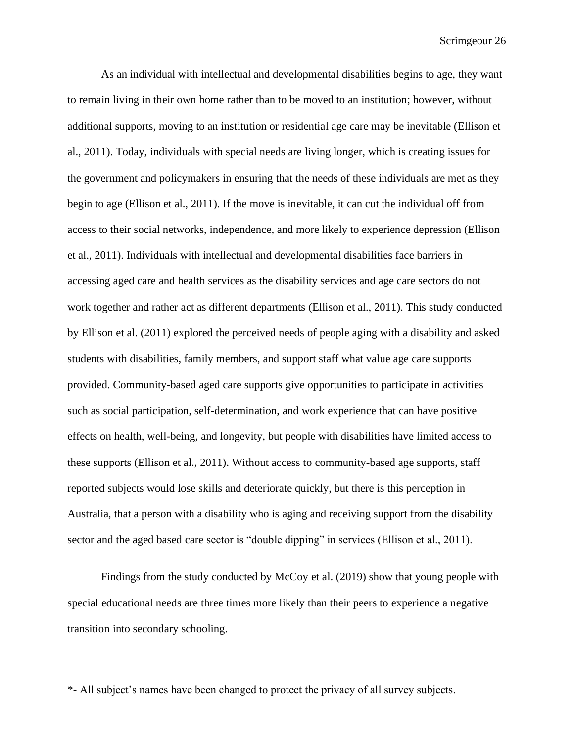As an individual with intellectual and developmental disabilities begins to age, they want to remain living in their own home rather than to be moved to an institution; however, without additional supports, moving to an institution or residential age care may be inevitable (Ellison et al., 2011). Today, individuals with special needs are living longer, which is creating issues for the government and policymakers in ensuring that the needs of these individuals are met as they begin to age (Ellison et al., 2011). If the move is inevitable, it can cut the individual off from access to their social networks, independence, and more likely to experience depression (Ellison et al., 2011). Individuals with intellectual and developmental disabilities face barriers in accessing aged care and health services as the disability services and age care sectors do not work together and rather act as different departments (Ellison et al., 2011). This study conducted by Ellison et al. (2011) explored the perceived needs of people aging with a disability and asked students with disabilities, family members, and support staff what value age care supports provided. Community-based aged care supports give opportunities to participate in activities such as social participation, self-determination, and work experience that can have positive effects on health, well-being, and longevity, but people with disabilities have limited access to these supports (Ellison et al., 2011). Without access to community-based age supports, staff reported subjects would lose skills and deteriorate quickly, but there is this perception in Australia, that a person with a disability who is aging and receiving support from the disability sector and the aged based care sector is "double dipping" in services (Ellison et al., 2011).

Findings from the study conducted by McCoy et al. (2019) show that young people with special educational needs are three times more likely than their peers to experience a negative transition into secondary schooling.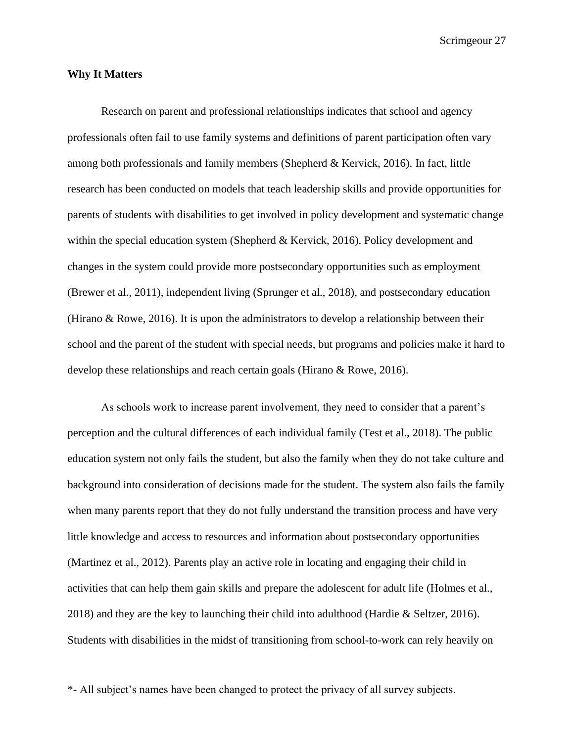#### **Why It Matters**

Research on parent and professional relationships indicates that school and agency professionals often fail to use family systems and definitions of parent participation often vary among both professionals and family members (Shepherd  $\&$  Kervick, 2016). In fact, little research has been conducted on models that teach leadership skills and provide opportunities for parents of students with disabilities to get involved in policy development and systematic change within the special education system (Shepherd & Kervick, 2016). Policy development and changes in the system could provide more postsecondary opportunities such as employment (Brewer et al., 2011), independent living (Sprunger et al., 2018), and postsecondary education (Hirano & Rowe, 2016). It is upon the administrators to develop a relationship between their school and the parent of the student with special needs, but programs and policies make it hard to develop these relationships and reach certain goals (Hirano & Rowe, 2016).

As schools work to increase parent involvement, they need to consider that a parent's perception and the cultural differences of each individual family (Test et al., 2018). The public education system not only fails the student, but also the family when they do not take culture and background into consideration of decisions made for the student. The system also fails the family when many parents report that they do not fully understand the transition process and have very little knowledge and access to resources and information about postsecondary opportunities (Martinez et al., 2012). Parents play an active role in locating and engaging their child in activities that can help them gain skills and prepare the adolescent for adult life (Holmes et al., 2018) and they are the key to launching their child into adulthood (Hardie & Seltzer, 2016). Students with disabilities in the midst of transitioning from school-to-work can rely heavily on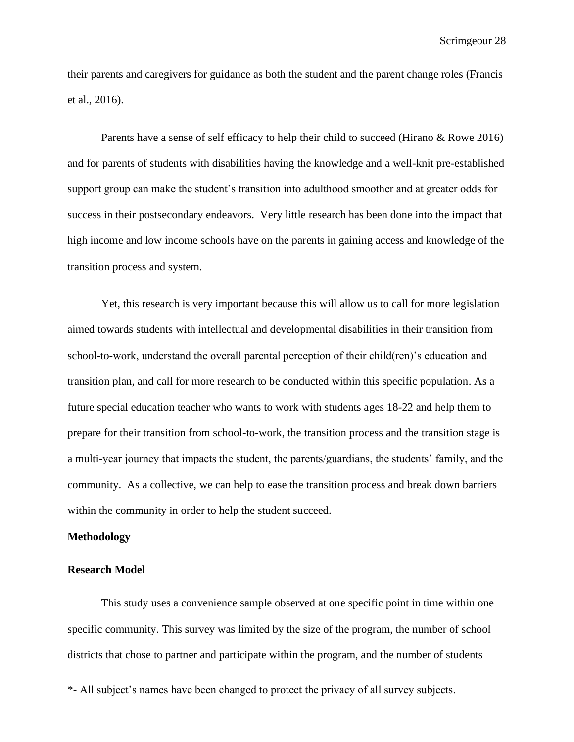their parents and caregivers for guidance as both the student and the parent change roles (Francis et al., 2016).

Parents have a sense of self efficacy to help their child to succeed (Hirano & Rowe 2016) and for parents of students with disabilities having the knowledge and a well-knit pre-established support group can make the student's transition into adulthood smoother and at greater odds for success in their postsecondary endeavors. Very little research has been done into the impact that high income and low income schools have on the parents in gaining access and knowledge of the transition process and system.

Yet, this research is very important because this will allow us to call for more legislation aimed towards students with intellectual and developmental disabilities in their transition from school-to-work, understand the overall parental perception of their child(ren)'s education and transition plan, and call for more research to be conducted within this specific population. As a future special education teacher who wants to work with students ages 18-22 and help them to prepare for their transition from school-to-work, the transition process and the transition stage is a multi-year journey that impacts the student, the parents/guardians, the students' family, and the community. As a collective, we can help to ease the transition process and break down barriers within the community in order to help the student succeed.

#### **Methodology**

#### **Research Model**

This study uses a convenience sample observed at one specific point in time within one specific community. This survey was limited by the size of the program, the number of school districts that chose to partner and participate within the program, and the number of students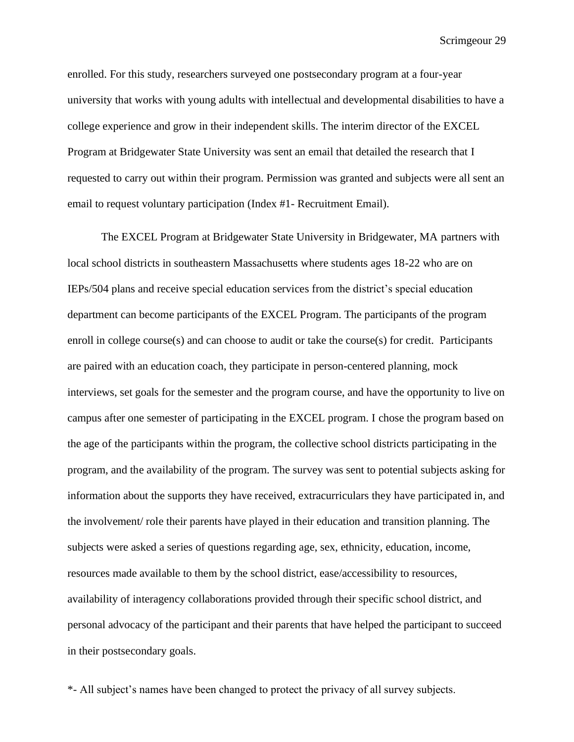enrolled. For this study, researchers surveyed one postsecondary program at a four-year university that works with young adults with intellectual and developmental disabilities to have a college experience and grow in their independent skills. The interim director of the EXCEL Program at Bridgewater State University was sent an email that detailed the research that I requested to carry out within their program. Permission was granted and subjects were all sent an email to request voluntary participation (Index #1- Recruitment Email).

The EXCEL Program at Bridgewater State University in Bridgewater, MA partners with local school districts in southeastern Massachusetts where students ages 18-22 who are on IEPs/504 plans and receive special education services from the district's special education department can become participants of the EXCEL Program. The participants of the program enroll in college course(s) and can choose to audit or take the course(s) for credit. Participants are paired with an education coach, they participate in person-centered planning, mock interviews, set goals for the semester and the program course, and have the opportunity to live on campus after one semester of participating in the EXCEL program. I chose the program based on the age of the participants within the program, the collective school districts participating in the program, and the availability of the program. The survey was sent to potential subjects asking for information about the supports they have received, extracurriculars they have participated in, and the involvement/ role their parents have played in their education and transition planning. The subjects were asked a series of questions regarding age, sex, ethnicity, education, income, resources made available to them by the school district, ease/accessibility to resources, availability of interagency collaborations provided through their specific school district, and personal advocacy of the participant and their parents that have helped the participant to succeed in their postsecondary goals.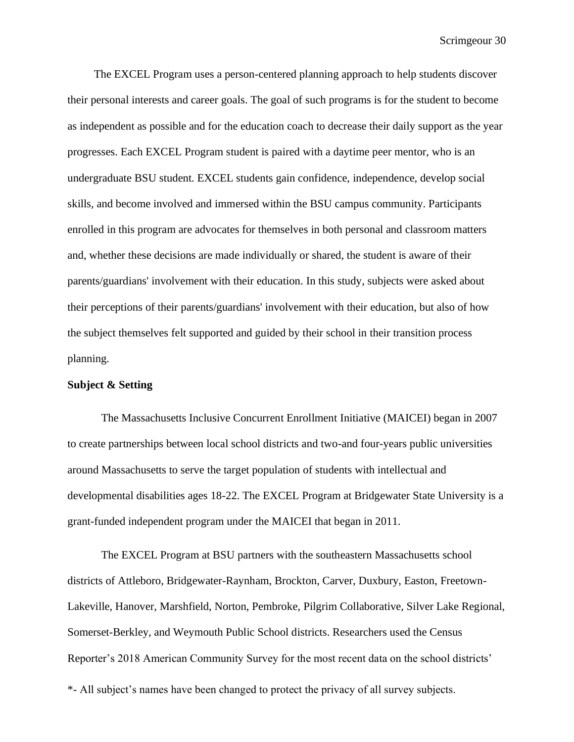The EXCEL Program uses a person-centered planning approach to help students discover their personal interests and career goals. The goal of such programs is for the student to become as independent as possible and for the education coach to decrease their daily support as the year progresses. Each EXCEL Program student is paired with a daytime peer mentor, who is an undergraduate BSU student. EXCEL students gain confidence, independence, develop social skills, and become involved and immersed within the BSU campus community. Participants enrolled in this program are advocates for themselves in both personal and classroom matters and, whether these decisions are made individually or shared, the student is aware of their parents/guardians' involvement with their education. In this study, subjects were asked about their perceptions of their parents/guardians' involvement with their education, but also of how the subject themselves felt supported and guided by their school in their transition process planning.

## **Subject & Setting**

The Massachusetts Inclusive Concurrent Enrollment Initiative (MAICEI) began in 2007 to create partnerships between local school districts and two-and four-years public universities around Massachusetts to serve the target population of students with intellectual and developmental disabilities ages 18-22. The EXCEL Program at Bridgewater State University is a grant-funded independent program under the MAICEI that began in 2011.

The EXCEL Program at BSU partners with the southeastern Massachusetts school districts of Attleboro, Bridgewater-Raynham, Brockton, Carver, Duxbury, Easton, Freetown-Lakeville, Hanover, Marshfield, Norton, Pembroke, Pilgrim Collaborative, Silver Lake Regional, Somerset-Berkley, and Weymouth Public School districts. Researchers used the Census Reporter's 2018 American Community Survey for the most recent data on the school districts'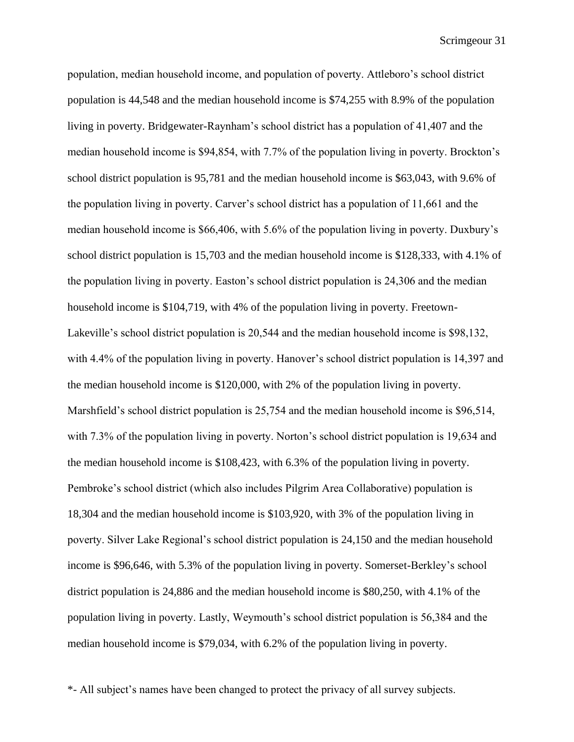population, median household income, and population of poverty. Attleboro's school district population is 44,548 and the median household income is \$74,255 with 8.9% of the population living in poverty. Bridgewater-Raynham's school district has a population of 41,407 and the median household income is \$94,854, with 7.7% of the population living in poverty. Brockton's school district population is 95,781 and the median household income is \$63,043, with 9.6% of the population living in poverty. Carver's school district has a population of 11,661 and the median household income is \$66,406, with 5.6% of the population living in poverty. Duxbury's school district population is 15,703 and the median household income is \$128,333, with 4.1% of the population living in poverty. Easton's school district population is 24,306 and the median household income is \$104,719, with 4% of the population living in poverty. Freetown-Lakeville's school district population is 20,544 and the median household income is \$98,132, with 4.4% of the population living in poverty. Hanover's school district population is 14,397 and the median household income is \$120,000, with 2% of the population living in poverty. Marshfield's school district population is 25,754 and the median household income is \$96,514, with 7.3% of the population living in poverty. Norton's school district population is 19,634 and the median household income is \$108,423, with 6.3% of the population living in poverty. Pembroke's school district (which also includes Pilgrim Area Collaborative) population is 18,304 and the median household income is \$103,920, with 3% of the population living in poverty. Silver Lake Regional's school district population is 24,150 and the median household income is \$96,646, with 5.3% of the population living in poverty. Somerset-Berkley's school district population is 24,886 and the median household income is \$80,250, with 4.1% of the population living in poverty. Lastly, Weymouth's school district population is 56,384 and the median household income is \$79,034, with 6.2% of the population living in poverty.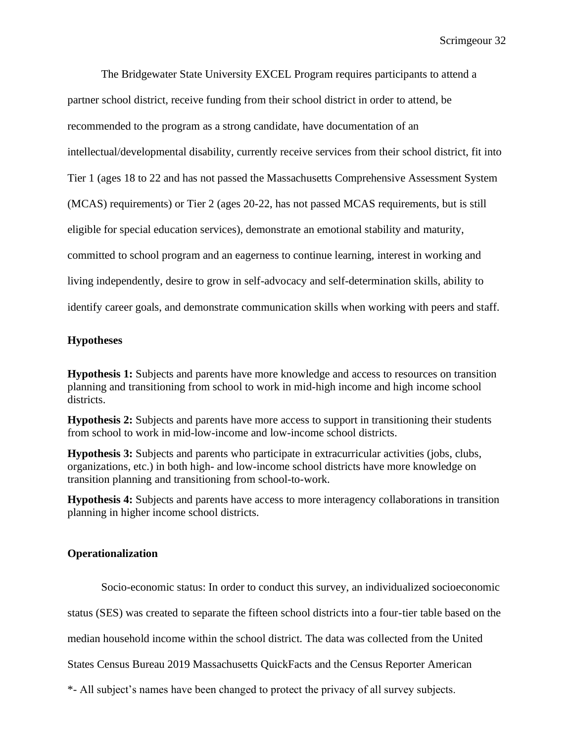The Bridgewater State University EXCEL Program requires participants to attend a partner school district, receive funding from their school district in order to attend, be recommended to the program as a strong candidate, have documentation of an intellectual/developmental disability, currently receive services from their school district, fit into Tier 1 (ages 18 to 22 and has not passed the Massachusetts Comprehensive Assessment System (MCAS) requirements) or Tier 2 (ages 20-22, has not passed MCAS requirements, but is still eligible for special education services), demonstrate an emotional stability and maturity, committed to school program and an eagerness to continue learning, interest in working and living independently, desire to grow in self-advocacy and self-determination skills, ability to identify career goals, and demonstrate communication skills when working with peers and staff.

## **Hypotheses**

**Hypothesis 1:** Subjects and parents have more knowledge and access to resources on transition planning and transitioning from school to work in mid-high income and high income school districts.

**Hypothesis 2:** Subjects and parents have more access to support in transitioning their students from school to work in mid-low-income and low-income school districts.

**Hypothesis 3:** Subjects and parents who participate in extracurricular activities (jobs, clubs, organizations, etc.) in both high- and low-income school districts have more knowledge on transition planning and transitioning from school-to-work.

**Hypothesis 4:** Subjects and parents have access to more interagency collaborations in transition planning in higher income school districts.

## **Operationalization**

Socio-economic status: In order to conduct this survey, an individualized socioeconomic

status (SES) was created to separate the fifteen school districts into a four-tier table based on the

median household income within the school district. The data was collected from the United

States Census Bureau 2019 Massachusetts QuickFacts and the Census Reporter American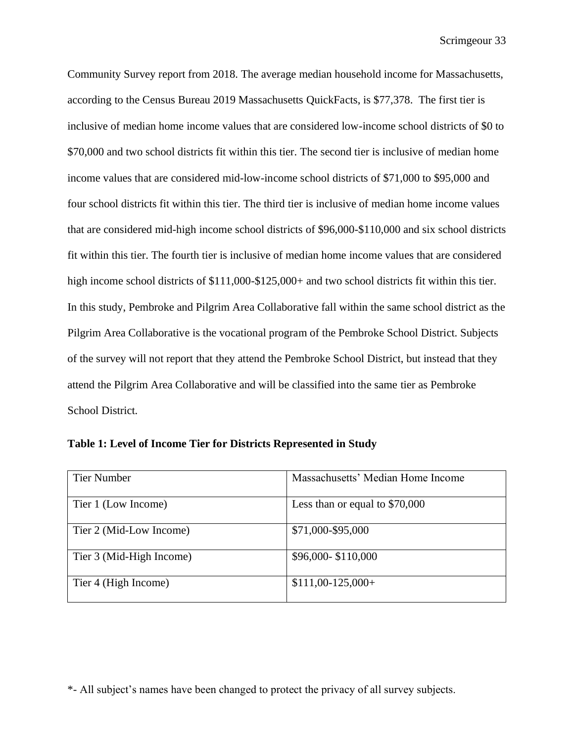Community Survey report from 2018. The average median household income for Massachusetts, according to the Census Bureau 2019 Massachusetts QuickFacts, is \$77,378. The first tier is inclusive of median home income values that are considered low-income school districts of \$0 to \$70,000 and two school districts fit within this tier. The second tier is inclusive of median home income values that are considered mid-low-income school districts of \$71,000 to \$95,000 and four school districts fit within this tier. The third tier is inclusive of median home income values that are considered mid-high income school districts of \$96,000-\$110,000 and six school districts fit within this tier. The fourth tier is inclusive of median home income values that are considered high income school districts of \$111,000-\$125,000+ and two school districts fit within this tier. In this study, Pembroke and Pilgrim Area Collaborative fall within the same school district as the Pilgrim Area Collaborative is the vocational program of the Pembroke School District. Subjects of the survey will not report that they attend the Pembroke School District, but instead that they attend the Pilgrim Area Collaborative and will be classified into the same tier as Pembroke School District.

| <b>Tier Number</b>       | Massachusetts' Median Home Income |
|--------------------------|-----------------------------------|
| Tier 1 (Low Income)      | Less than or equal to $$70,000$   |
| Tier 2 (Mid-Low Income)  | \$71,000-\$95,000                 |
| Tier 3 (Mid-High Income) | \$96,000-\$110,000                |
| Tier 4 (High Income)     | $$111,00-125,000+$                |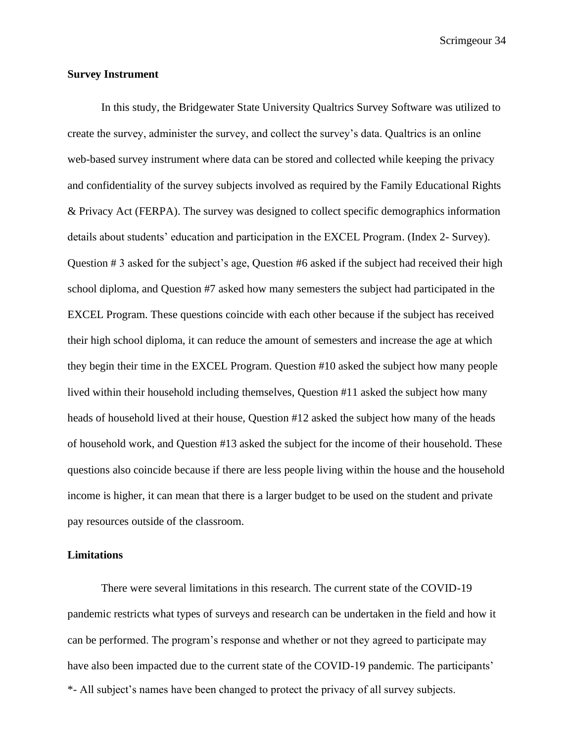#### **Survey Instrument**

In this study, the Bridgewater State University Qualtrics Survey Software was utilized to create the survey, administer the survey, and collect the survey's data. Qualtrics is an online web-based survey instrument where data can be stored and collected while keeping the privacy and confidentiality of the survey subjects involved as required by the Family Educational Rights & Privacy Act (FERPA). The survey was designed to collect specific demographics information details about students' education and participation in the EXCEL Program. (Index 2- Survey). Question # 3 asked for the subject's age, Question #6 asked if the subject had received their high school diploma, and Question #7 asked how many semesters the subject had participated in the EXCEL Program. These questions coincide with each other because if the subject has received their high school diploma, it can reduce the amount of semesters and increase the age at which they begin their time in the EXCEL Program. Question #10 asked the subject how many people lived within their household including themselves, Question #11 asked the subject how many heads of household lived at their house, Question #12 asked the subject how many of the heads of household work, and Question #13 asked the subject for the income of their household. These questions also coincide because if there are less people living within the house and the household income is higher, it can mean that there is a larger budget to be used on the student and private pay resources outside of the classroom.

#### **Limitations**

\*- All subject's names have been changed to protect the privacy of all survey subjects. There were several limitations in this research. The current state of the COVID-19 pandemic restricts what types of surveys and research can be undertaken in the field and how it can be performed. The program's response and whether or not they agreed to participate may have also been impacted due to the current state of the COVID-19 pandemic. The participants'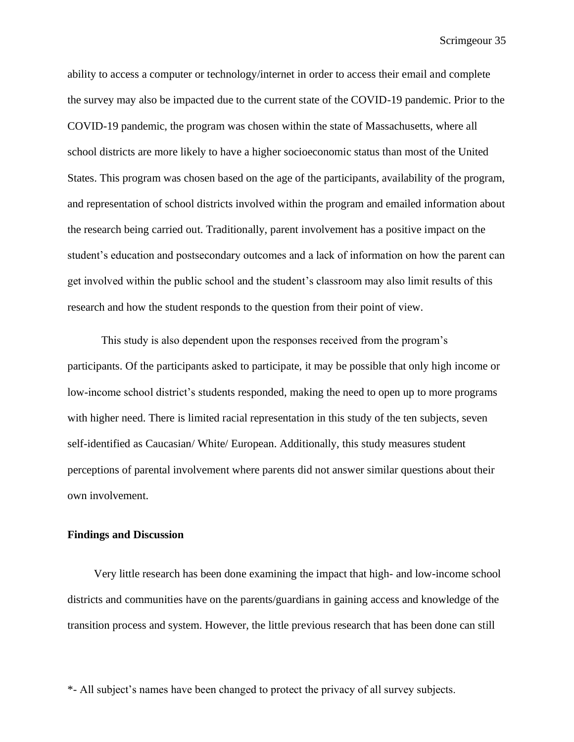ability to access a computer or technology/internet in order to access their email and complete the survey may also be impacted due to the current state of the COVID-19 pandemic. Prior to the COVID-19 pandemic, the program was chosen within the state of Massachusetts, where all school districts are more likely to have a higher socioeconomic status than most of the United States. This program was chosen based on the age of the participants, availability of the program, and representation of school districts involved within the program and emailed information about the research being carried out. Traditionally, parent involvement has a positive impact on the student's education and postsecondary outcomes and a lack of information on how the parent can get involved within the public school and the student's classroom may also limit results of this research and how the student responds to the question from their point of view.

This study is also dependent upon the responses received from the program's participants. Of the participants asked to participate, it may be possible that only high income or low-income school district's students responded, making the need to open up to more programs with higher need. There is limited racial representation in this study of the ten subjects, seven self-identified as Caucasian/ White/ European. Additionally, this study measures student perceptions of parental involvement where parents did not answer similar questions about their own involvement.

#### **Findings and Discussion**

Very little research has been done examining the impact that high- and low-income school districts and communities have on the parents/guardians in gaining access and knowledge of the transition process and system. However, the little previous research that has been done can still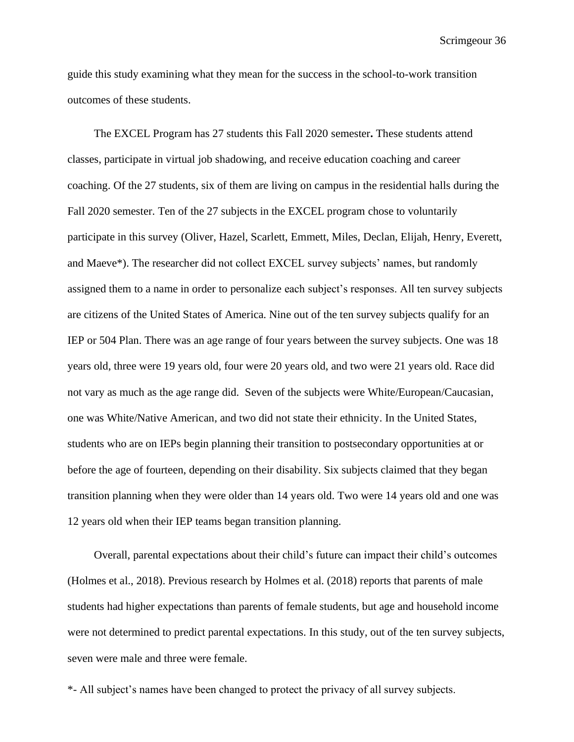guide this study examining what they mean for the success in the school-to-work transition outcomes of these students.

The EXCEL Program has 27 students this Fall 2020 semester**.** These students attend classes, participate in virtual job shadowing, and receive education coaching and career coaching. Of the 27 students, six of them are living on campus in the residential halls during the Fall 2020 semester. Ten of the 27 subjects in the EXCEL program chose to voluntarily participate in this survey (Oliver, Hazel, Scarlett, Emmett, Miles, Declan, Elijah, Henry, Everett, and Maeve\*). The researcher did not collect EXCEL survey subjects' names, but randomly assigned them to a name in order to personalize each subject's responses. All ten survey subjects are citizens of the United States of America. Nine out of the ten survey subjects qualify for an IEP or 504 Plan. There was an age range of four years between the survey subjects. One was 18 years old, three were 19 years old, four were 20 years old, and two were 21 years old. Race did not vary as much as the age range did. Seven of the subjects were White/European/Caucasian, one was White/Native American, and two did not state their ethnicity. In the United States, students who are on IEPs begin planning their transition to postsecondary opportunities at or before the age of fourteen, depending on their disability. Six subjects claimed that they began transition planning when they were older than 14 years old. Two were 14 years old and one was 12 years old when their IEP teams began transition planning.

Overall, parental expectations about their child's future can impact their child's outcomes (Holmes et al., 2018). Previous research by Holmes et al. (2018) reports that parents of male students had higher expectations than parents of female students, but age and household income were not determined to predict parental expectations. In this study, out of the ten survey subjects, seven were male and three were female.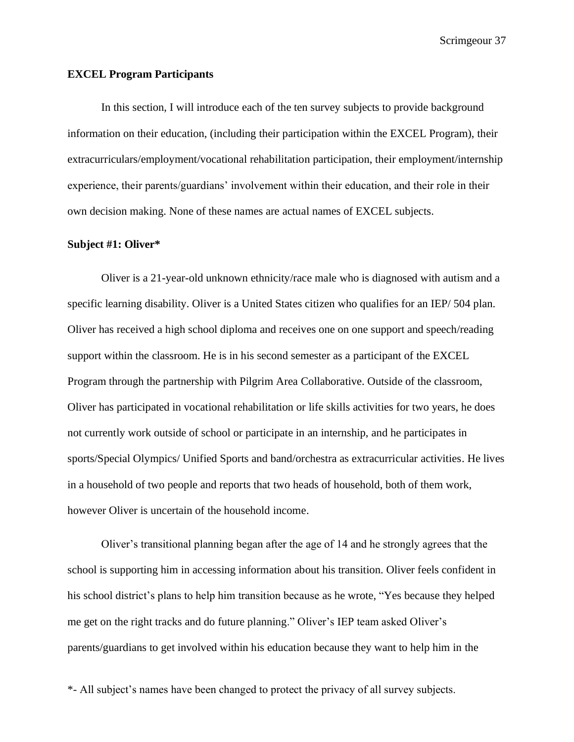#### **EXCEL Program Participants**

In this section, I will introduce each of the ten survey subjects to provide background information on their education, (including their participation within the EXCEL Program), their extracurriculars/employment/vocational rehabilitation participation, their employment/internship experience, their parents/guardians' involvement within their education, and their role in their own decision making. None of these names are actual names of EXCEL subjects.

#### **Subject #1: Oliver\***

Oliver is a 21-year-old unknown ethnicity/race male who is diagnosed with autism and a specific learning disability. Oliver is a United States citizen who qualifies for an IEP/ 504 plan. Oliver has received a high school diploma and receives one on one support and speech/reading support within the classroom. He is in his second semester as a participant of the EXCEL Program through the partnership with Pilgrim Area Collaborative. Outside of the classroom, Oliver has participated in vocational rehabilitation or life skills activities for two years, he does not currently work outside of school or participate in an internship, and he participates in sports/Special Olympics/ Unified Sports and band/orchestra as extracurricular activities. He lives in a household of two people and reports that two heads of household, both of them work, however Oliver is uncertain of the household income.

Oliver's transitional planning began after the age of 14 and he strongly agrees that the school is supporting him in accessing information about his transition. Oliver feels confident in his school district's plans to help him transition because as he wrote, "Yes because they helped me get on the right tracks and do future planning." Oliver's IEP team asked Oliver's parents/guardians to get involved within his education because they want to help him in the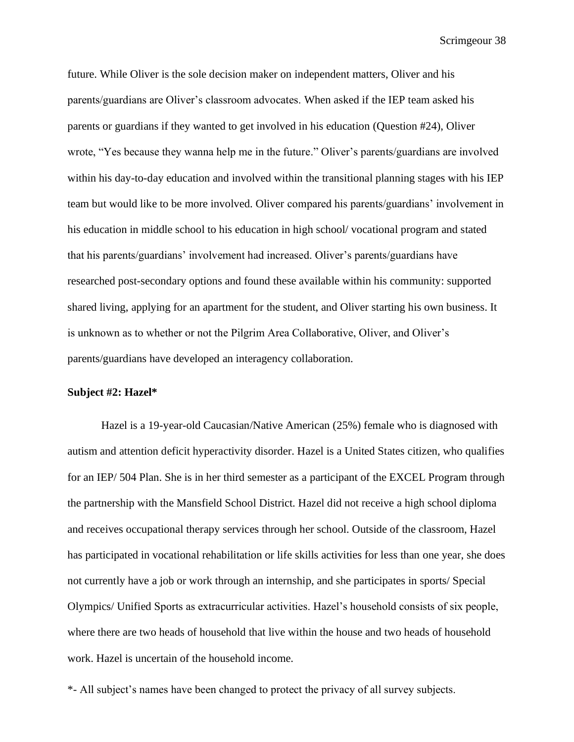future. While Oliver is the sole decision maker on independent matters, Oliver and his parents/guardians are Oliver's classroom advocates. When asked if the IEP team asked his parents or guardians if they wanted to get involved in his education (Question #24), Oliver wrote, "Yes because they wanna help me in the future." Oliver's parents/guardians are involved within his day-to-day education and involved within the transitional planning stages with his IEP team but would like to be more involved. Oliver compared his parents/guardians' involvement in his education in middle school to his education in high school/ vocational program and stated that his parents/guardians' involvement had increased. Oliver's parents/guardians have researched post-secondary options and found these available within his community: supported shared living, applying for an apartment for the student, and Oliver starting his own business. It is unknown as to whether or not the Pilgrim Area Collaborative, Oliver, and Oliver's parents/guardians have developed an interagency collaboration.

#### **Subject #2: Hazel\***

Hazel is a 19-year-old Caucasian/Native American (25%) female who is diagnosed with autism and attention deficit hyperactivity disorder. Hazel is a United States citizen, who qualifies for an IEP/ 504 Plan. She is in her third semester as a participant of the EXCEL Program through the partnership with the Mansfield School District. Hazel did not receive a high school diploma and receives occupational therapy services through her school. Outside of the classroom, Hazel has participated in vocational rehabilitation or life skills activities for less than one year, she does not currently have a job or work through an internship, and she participates in sports/ Special Olympics/ Unified Sports as extracurricular activities. Hazel's household consists of six people, where there are two heads of household that live within the house and two heads of household work. Hazel is uncertain of the household income.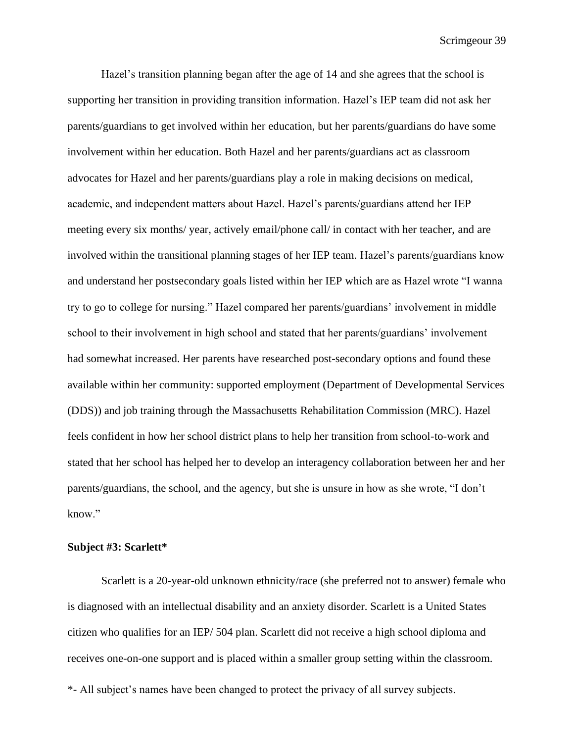Hazel's transition planning began after the age of 14 and she agrees that the school is supporting her transition in providing transition information. Hazel's IEP team did not ask her parents/guardians to get involved within her education, but her parents/guardians do have some involvement within her education. Both Hazel and her parents/guardians act as classroom advocates for Hazel and her parents/guardians play a role in making decisions on medical, academic, and independent matters about Hazel. Hazel's parents/guardians attend her IEP meeting every six months/ year, actively email/phone call/ in contact with her teacher, and are involved within the transitional planning stages of her IEP team. Hazel's parents/guardians know and understand her postsecondary goals listed within her IEP which are as Hazel wrote "I wanna try to go to college for nursing." Hazel compared her parents/guardians' involvement in middle school to their involvement in high school and stated that her parents/guardians' involvement had somewhat increased. Her parents have researched post-secondary options and found these available within her community: supported employment (Department of Developmental Services (DDS)) and job training through the Massachusetts Rehabilitation Commission (MRC). Hazel feels confident in how her school district plans to help her transition from school-to-work and stated that her school has helped her to develop an interagency collaboration between her and her parents/guardians, the school, and the agency, but she is unsure in how as she wrote, "I don't know."

#### **Subject #3: Scarlett\***

Scarlett is a 20-year-old unknown ethnicity/race (she preferred not to answer) female who is diagnosed with an intellectual disability and an anxiety disorder. Scarlett is a United States citizen who qualifies for an IEP/ 504 plan. Scarlett did not receive a high school diploma and receives one-on-one support and is placed within a smaller group setting within the classroom.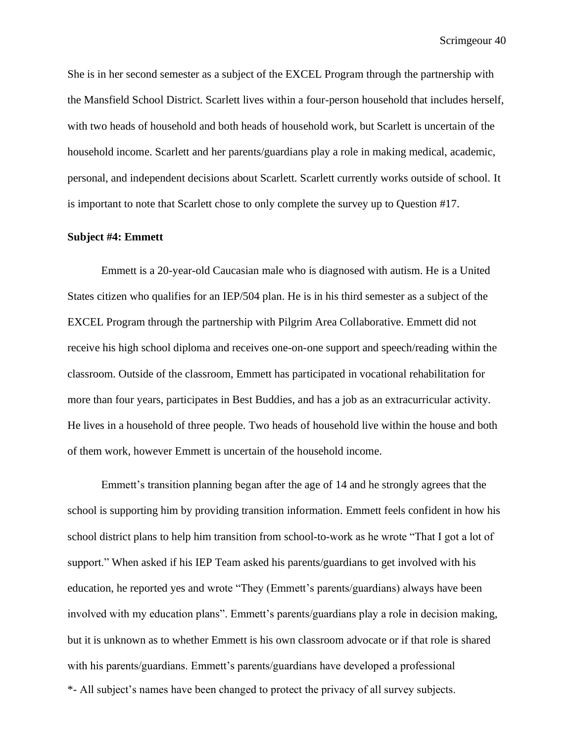She is in her second semester as a subject of the EXCEL Program through the partnership with the Mansfield School District. Scarlett lives within a four-person household that includes herself, with two heads of household and both heads of household work, but Scarlett is uncertain of the household income. Scarlett and her parents/guardians play a role in making medical, academic, personal, and independent decisions about Scarlett. Scarlett currently works outside of school. It is important to note that Scarlett chose to only complete the survey up to Question #17.

#### **Subject #4: Emmett**

Emmett is a 20-year-old Caucasian male who is diagnosed with autism. He is a United States citizen who qualifies for an IEP/504 plan. He is in his third semester as a subject of the EXCEL Program through the partnership with Pilgrim Area Collaborative. Emmett did not receive his high school diploma and receives one-on-one support and speech/reading within the classroom. Outside of the classroom, Emmett has participated in vocational rehabilitation for more than four years, participates in Best Buddies, and has a job as an extracurricular activity. He lives in a household of three people. Two heads of household live within the house and both of them work, however Emmett is uncertain of the household income.

\*- All subject's names have been changed to protect the privacy of all survey subjects. Emmett's transition planning began after the age of 14 and he strongly agrees that the school is supporting him by providing transition information. Emmett feels confident in how his school district plans to help him transition from school-to-work as he wrote "That I got a lot of support." When asked if his IEP Team asked his parents/guardians to get involved with his education, he reported yes and wrote "They (Emmett's parents/guardians) always have been involved with my education plans". Emmett's parents/guardians play a role in decision making, but it is unknown as to whether Emmett is his own classroom advocate or if that role is shared with his parents/guardians. Emmett's parents/guardians have developed a professional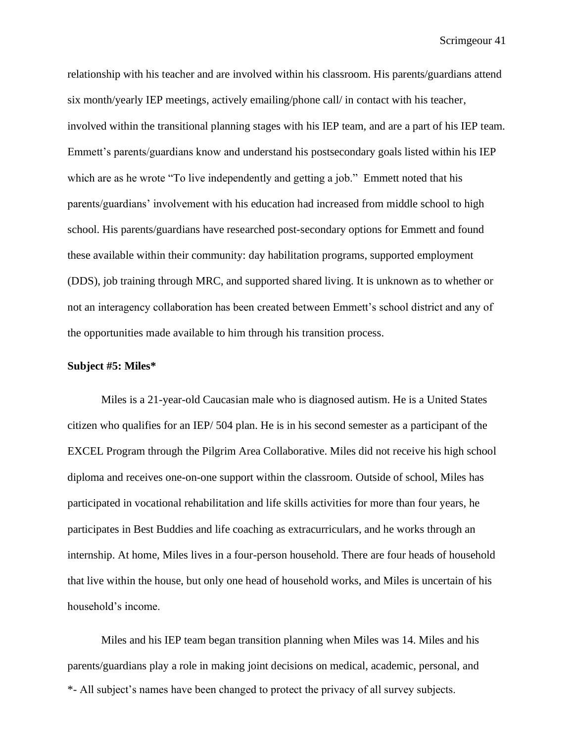relationship with his teacher and are involved within his classroom. His parents/guardians attend six month/yearly IEP meetings, actively emailing/phone call/ in contact with his teacher, involved within the transitional planning stages with his IEP team, and are a part of his IEP team. Emmett's parents/guardians know and understand his postsecondary goals listed within his IEP which are as he wrote "To live independently and getting a job." Emmett noted that his parents/guardians' involvement with his education had increased from middle school to high school. His parents/guardians have researched post-secondary options for Emmett and found these available within their community: day habilitation programs, supported employment (DDS), job training through MRC, and supported shared living. It is unknown as to whether or not an interagency collaboration has been created between Emmett's school district and any of the opportunities made available to him through his transition process.

#### **Subject #5: Miles\***

Miles is a 21-year-old Caucasian male who is diagnosed autism. He is a United States citizen who qualifies for an IEP/ 504 plan. He is in his second semester as a participant of the EXCEL Program through the Pilgrim Area Collaborative. Miles did not receive his high school diploma and receives one-on-one support within the classroom. Outside of school, Miles has participated in vocational rehabilitation and life skills activities for more than four years, he participates in Best Buddies and life coaching as extracurriculars, and he works through an internship. At home, Miles lives in a four-person household. There are four heads of household that live within the house, but only one head of household works, and Miles is uncertain of his household's income.

\*- All subject's names have been changed to protect the privacy of all survey subjects. Miles and his IEP team began transition planning when Miles was 14. Miles and his parents/guardians play a role in making joint decisions on medical, academic, personal, and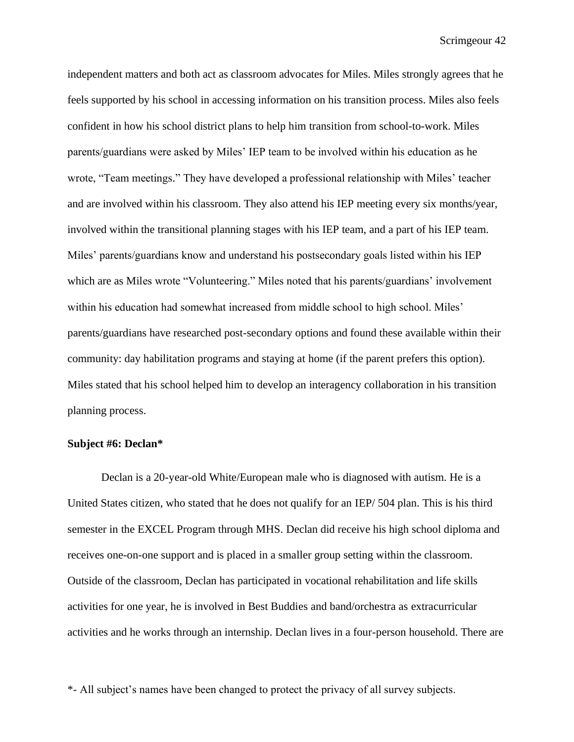independent matters and both act as classroom advocates for Miles. Miles strongly agrees that he feels supported by his school in accessing information on his transition process. Miles also feels confident in how his school district plans to help him transition from school-to-work. Miles parents/guardians were asked by Miles' IEP team to be involved within his education as he wrote, "Team meetings." They have developed a professional relationship with Miles' teacher and are involved within his classroom. They also attend his IEP meeting every six months/year, involved within the transitional planning stages with his IEP team, and a part of his IEP team. Miles' parents/guardians know and understand his postsecondary goals listed within his IEP which are as Miles wrote "Volunteering." Miles noted that his parents/guardians' involvement within his education had somewhat increased from middle school to high school. Miles' parents/guardians have researched post-secondary options and found these available within their community: day habilitation programs and staying at home (if the parent prefers this option). Miles stated that his school helped him to develop an interagency collaboration in his transition planning process.

#### **Subject #6: Declan\***

Declan is a 20-year-old White/European male who is diagnosed with autism. He is a United States citizen, who stated that he does not qualify for an IEP/ 504 plan. This is his third semester in the EXCEL Program through MHS. Declan did receive his high school diploma and receives one-on-one support and is placed in a smaller group setting within the classroom. Outside of the classroom, Declan has participated in vocational rehabilitation and life skills activities for one year, he is involved in Best Buddies and band/orchestra as extracurricular activities and he works through an internship. Declan lives in a four-person household. There are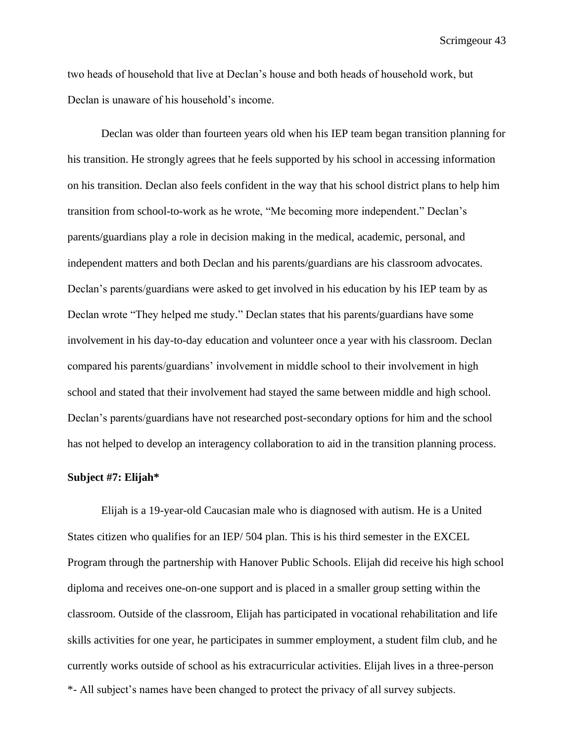two heads of household that live at Declan's house and both heads of household work, but Declan is unaware of his household's income.

Declan was older than fourteen years old when his IEP team began transition planning for his transition. He strongly agrees that he feels supported by his school in accessing information on his transition. Declan also feels confident in the way that his school district plans to help him transition from school-to-work as he wrote, "Me becoming more independent." Declan's parents/guardians play a role in decision making in the medical, academic, personal, and independent matters and both Declan and his parents/guardians are his classroom advocates. Declan's parents/guardians were asked to get involved in his education by his IEP team by as Declan wrote "They helped me study." Declan states that his parents/guardians have some involvement in his day-to-day education and volunteer once a year with his classroom. Declan compared his parents/guardians' involvement in middle school to their involvement in high school and stated that their involvement had stayed the same between middle and high school. Declan's parents/guardians have not researched post-secondary options for him and the school has not helped to develop an interagency collaboration to aid in the transition planning process.

#### **Subject #7: Elijah\***

\*- All subject's names have been changed to protect the privacy of all survey subjects. Elijah is a 19-year-old Caucasian male who is diagnosed with autism. He is a United States citizen who qualifies for an IEP/ 504 plan. This is his third semester in the EXCEL Program through the partnership with Hanover Public Schools. Elijah did receive his high school diploma and receives one-on-one support and is placed in a smaller group setting within the classroom. Outside of the classroom, Elijah has participated in vocational rehabilitation and life skills activities for one year, he participates in summer employment, a student film club, and he currently works outside of school as his extracurricular activities. Elijah lives in a three-person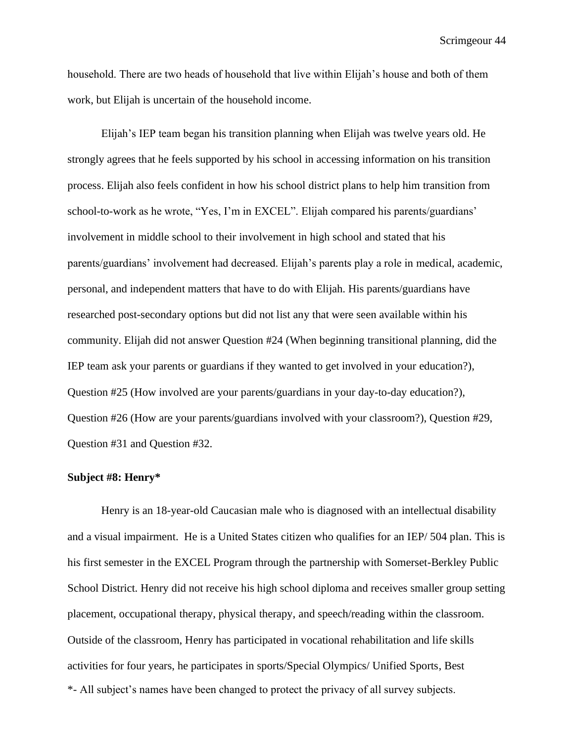household. There are two heads of household that live within Elijah's house and both of them work, but Elijah is uncertain of the household income.

Elijah's IEP team began his transition planning when Elijah was twelve years old. He strongly agrees that he feels supported by his school in accessing information on his transition process. Elijah also feels confident in how his school district plans to help him transition from school-to-work as he wrote, "Yes, I'm in EXCEL". Elijah compared his parents/guardians' involvement in middle school to their involvement in high school and stated that his parents/guardians' involvement had decreased. Elijah's parents play a role in medical, academic, personal, and independent matters that have to do with Elijah. His parents/guardians have researched post-secondary options but did not list any that were seen available within his community. Elijah did not answer Question #24 (When beginning transitional planning, did the IEP team ask your parents or guardians if they wanted to get involved in your education?), Question #25 (How involved are your parents/guardians in your day-to-day education?), Question #26 (How are your parents/guardians involved with your classroom?), Question #29, Question #31 and Question #32.

#### **Subject #8: Henry\***

\*- All subject's names have been changed to protect the privacy of all survey subjects. Henry is an 18-year-old Caucasian male who is diagnosed with an intellectual disability and a visual impairment. He is a United States citizen who qualifies for an IEP/ 504 plan. This is his first semester in the EXCEL Program through the partnership with Somerset-Berkley Public School District. Henry did not receive his high school diploma and receives smaller group setting placement, occupational therapy, physical therapy, and speech/reading within the classroom. Outside of the classroom, Henry has participated in vocational rehabilitation and life skills activities for four years, he participates in sports/Special Olympics/ Unified Sports, Best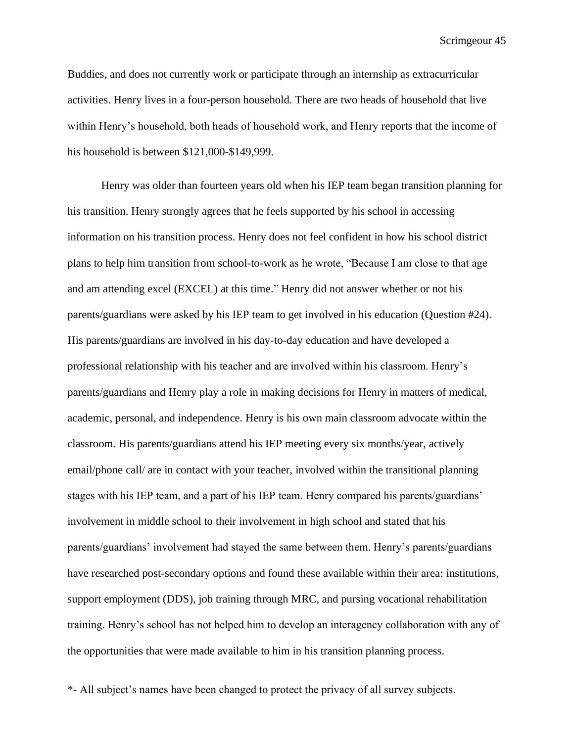Buddies, and does not currently work or participate through an internship as extracurricular activities. Henry lives in a four-person household. There are two heads of household that live within Henry's household, both heads of household work, and Henry reports that the income of his household is between \$121,000-\$149,999.

Henry was older than fourteen years old when his IEP team began transition planning for his transition. Henry strongly agrees that he feels supported by his school in accessing information on his transition process. Henry does not feel confident in how his school district plans to help him transition from school-to-work as he wrote, "Because I am close to that age and am attending excel (EXCEL) at this time." Henry did not answer whether or not his parents/guardians were asked by his IEP team to get involved in his education (Question #24). His parents/guardians are involved in his day-to-day education and have developed a professional relationship with his teacher and are involved within his classroom. Henry's parents/guardians and Henry play a role in making decisions for Henry in matters of medical, academic, personal, and independence. Henry is his own main classroom advocate within the classroom. His parents/guardians attend his IEP meeting every six months/year, actively email/phone call/ are in contact with your teacher, involved within the transitional planning stages with his IEP team, and a part of his IEP team. Henry compared his parents/guardians' involvement in middle school to their involvement in high school and stated that his parents/guardians' involvement had stayed the same between them. Henry's parents/guardians have researched post-secondary options and found these available within their area: institutions, support employment (DDS), job training through MRC, and pursing vocational rehabilitation training. Henry's school has not helped him to develop an interagency collaboration with any of the opportunities that were made available to him in his transition planning process.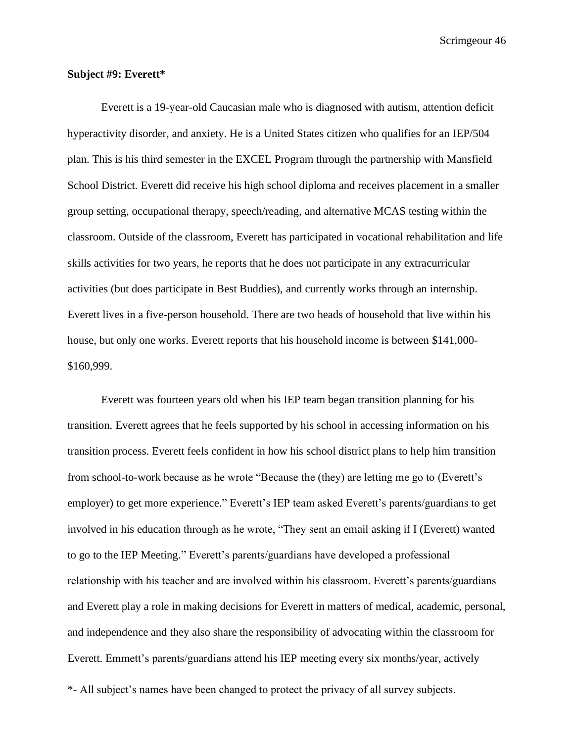#### **Subject #9: Everett\***

Everett is a 19-year-old Caucasian male who is diagnosed with autism, attention deficit hyperactivity disorder, and anxiety. He is a United States citizen who qualifies for an IEP/504 plan. This is his third semester in the EXCEL Program through the partnership with Mansfield School District. Everett did receive his high school diploma and receives placement in a smaller group setting, occupational therapy, speech/reading, and alternative MCAS testing within the classroom. Outside of the classroom, Everett has participated in vocational rehabilitation and life skills activities for two years, he reports that he does not participate in any extracurricular activities (but does participate in Best Buddies), and currently works through an internship. Everett lives in a five-person household. There are two heads of household that live within his house, but only one works. Everett reports that his household income is between \$141,000- \$160,999.

Everett was fourteen years old when his IEP team began transition planning for his transition. Everett agrees that he feels supported by his school in accessing information on his transition process. Everett feels confident in how his school district plans to help him transition from school-to-work because as he wrote "Because the (they) are letting me go to (Everett's employer) to get more experience." Everett's IEP team asked Everett's parents/guardians to get involved in his education through as he wrote, "They sent an email asking if I (Everett) wanted to go to the IEP Meeting." Everett's parents/guardians have developed a professional relationship with his teacher and are involved within his classroom. Everett's parents/guardians and Everett play a role in making decisions for Everett in matters of medical, academic, personal, and independence and they also share the responsibility of advocating within the classroom for Everett. Emmett's parents/guardians attend his IEP meeting every six months/year, actively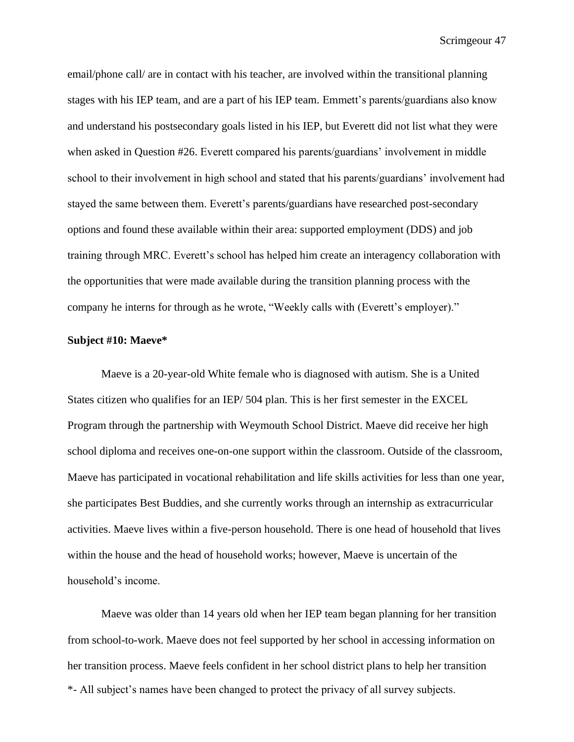email/phone call/ are in contact with his teacher, are involved within the transitional planning stages with his IEP team, and are a part of his IEP team. Emmett's parents/guardians also know and understand his postsecondary goals listed in his IEP, but Everett did not list what they were when asked in Question #26. Everett compared his parents/guardians' involvement in middle school to their involvement in high school and stated that his parents/guardians' involvement had stayed the same between them. Everett's parents/guardians have researched post-secondary options and found these available within their area: supported employment (DDS) and job training through MRC. Everett's school has helped him create an interagency collaboration with the opportunities that were made available during the transition planning process with the company he interns for through as he wrote, "Weekly calls with (Everett's employer)."

#### **Subject #10: Maeve\***

Maeve is a 20-year-old White female who is diagnosed with autism. She is a United States citizen who qualifies for an IEP/ 504 plan. This is her first semester in the EXCEL Program through the partnership with Weymouth School District. Maeve did receive her high school diploma and receives one-on-one support within the classroom. Outside of the classroom, Maeve has participated in vocational rehabilitation and life skills activities for less than one year, she participates Best Buddies, and she currently works through an internship as extracurricular activities. Maeve lives within a five-person household. There is one head of household that lives within the house and the head of household works; however, Maeve is uncertain of the household's income.

\*- All subject's names have been changed to protect the privacy of all survey subjects. Maeve was older than 14 years old when her IEP team began planning for her transition from school-to-work. Maeve does not feel supported by her school in accessing information on her transition process. Maeve feels confident in her school district plans to help her transition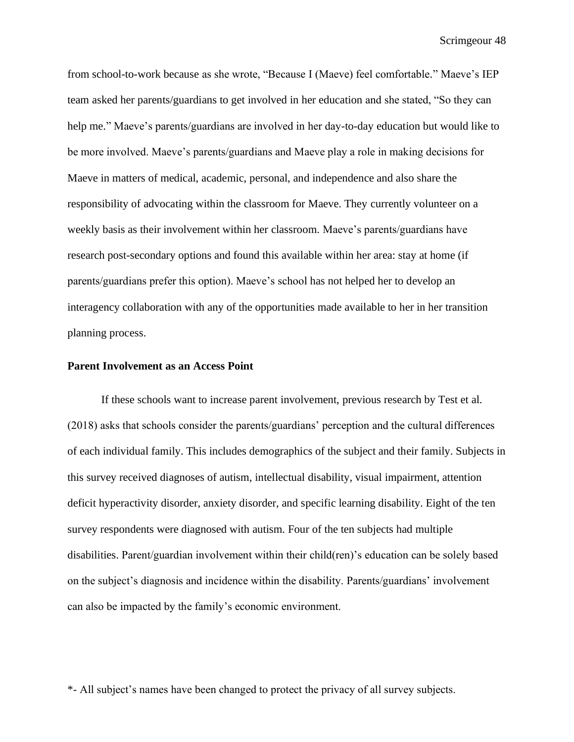from school-to-work because as she wrote, "Because I (Maeve) feel comfortable." Maeve's IEP team asked her parents/guardians to get involved in her education and she stated, "So they can help me." Maeve's parents/guardians are involved in her day-to-day education but would like to be more involved. Maeve's parents/guardians and Maeve play a role in making decisions for Maeve in matters of medical, academic, personal, and independence and also share the responsibility of advocating within the classroom for Maeve. They currently volunteer on a weekly basis as their involvement within her classroom. Maeve's parents/guardians have research post-secondary options and found this available within her area: stay at home (if parents/guardians prefer this option). Maeve's school has not helped her to develop an interagency collaboration with any of the opportunities made available to her in her transition planning process.

#### **Parent Involvement as an Access Point**

If these schools want to increase parent involvement, previous research by Test et al. (2018) asks that schools consider the parents/guardians' perception and the cultural differences of each individual family. This includes demographics of the subject and their family. Subjects in this survey received diagnoses of autism, intellectual disability, visual impairment, attention deficit hyperactivity disorder, anxiety disorder, and specific learning disability. Eight of the ten survey respondents were diagnosed with autism. Four of the ten subjects had multiple disabilities. Parent/guardian involvement within their child(ren)'s education can be solely based on the subject's diagnosis and incidence within the disability. Parents/guardians' involvement can also be impacted by the family's economic environment.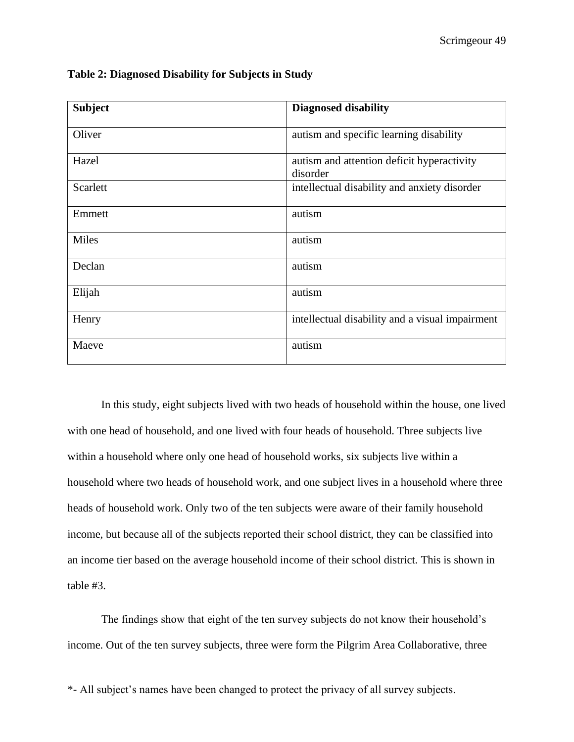| <b>Subject</b> | <b>Diagnosed disability</b>                            |
|----------------|--------------------------------------------------------|
| Oliver         | autism and specific learning disability                |
| Hazel          | autism and attention deficit hyperactivity<br>disorder |
| Scarlett       | intellectual disability and anxiety disorder           |
| Emmett         | autism                                                 |
| <b>Miles</b>   | autism                                                 |
| Declan         | autism                                                 |
| Elijah         | autism                                                 |
| Henry          | intellectual disability and a visual impairment        |
| Maeve          | autism                                                 |

**Table 2: Diagnosed Disability for Subjects in Study** 

In this study, eight subjects lived with two heads of household within the house, one lived with one head of household, and one lived with four heads of household. Three subjects live within a household where only one head of household works, six subjects live within a household where two heads of household work, and one subject lives in a household where three heads of household work. Only two of the ten subjects were aware of their family household income, but because all of the subjects reported their school district, they can be classified into an income tier based on the average household income of their school district. This is shown in table #3.

The findings show that eight of the ten survey subjects do not know their household's income. Out of the ten survey subjects, three were form the Pilgrim Area Collaborative, three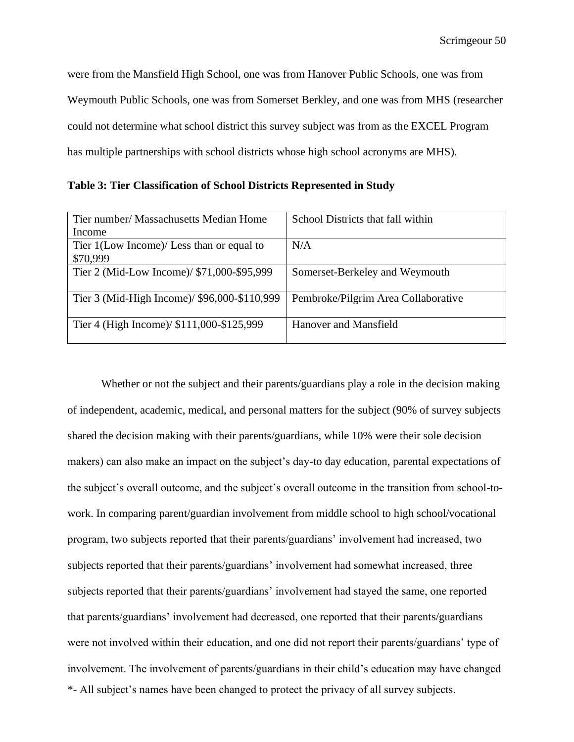were from the Mansfield High School, one was from Hanover Public Schools, one was from Weymouth Public Schools, one was from Somerset Berkley, and one was from MHS (researcher could not determine what school district this survey subject was from as the EXCEL Program has multiple partnerships with school districts whose high school acronyms are MHS).

**Table 3: Tier Classification of School Districts Represented in Study** 

| Tier number/ Massachusetts Median Home                | School Districts that fall within   |
|-------------------------------------------------------|-------------------------------------|
| Income                                                |                                     |
| Tier 1(Low Income)/ Less than or equal to<br>\$70,999 | N/A                                 |
| Tier 2 (Mid-Low Income)/ \$71,000-\$95,999            | Somerset-Berkeley and Weymouth      |
| Tier 3 (Mid-High Income)/ \$96,000-\$110,999          | Pembroke/Pilgrim Area Collaborative |
| Tier 4 (High Income)/ \$111,000-\$125,999             | Hanover and Mansfield               |

\*- All subject's names have been changed to protect the privacy of all survey subjects. Whether or not the subject and their parents/guardians play a role in the decision making of independent, academic, medical, and personal matters for the subject (90% of survey subjects shared the decision making with their parents/guardians, while 10% were their sole decision makers) can also make an impact on the subject's day-to day education, parental expectations of the subject's overall outcome, and the subject's overall outcome in the transition from school-towork. In comparing parent/guardian involvement from middle school to high school/vocational program, two subjects reported that their parents/guardians' involvement had increased, two subjects reported that their parents/guardians' involvement had somewhat increased, three subjects reported that their parents/guardians' involvement had stayed the same, one reported that parents/guardians' involvement had decreased, one reported that their parents/guardians were not involved within their education, and one did not report their parents/guardians' type of involvement. The involvement of parents/guardians in their child's education may have changed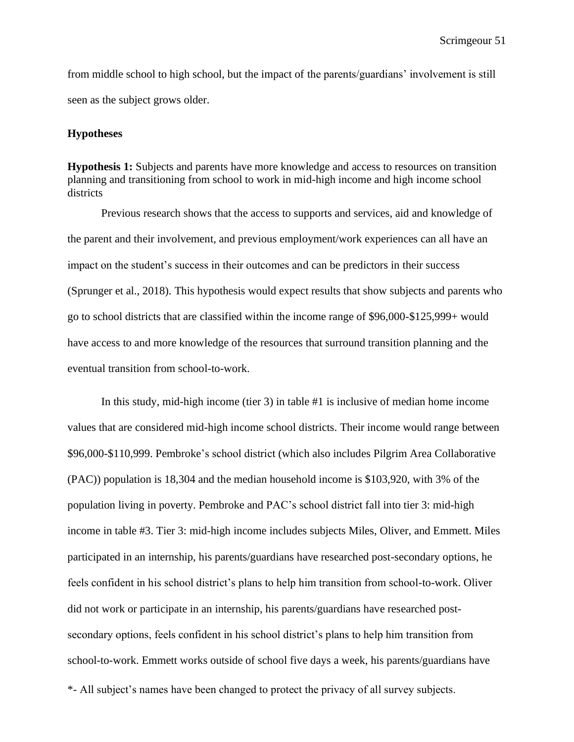from middle school to high school, but the impact of the parents/guardians' involvement is still seen as the subject grows older.

#### **Hypotheses**

**Hypothesis 1:** Subjects and parents have more knowledge and access to resources on transition planning and transitioning from school to work in mid-high income and high income school districts

Previous research shows that the access to supports and services, aid and knowledge of the parent and their involvement, and previous employment/work experiences can all have an impact on the student's success in their outcomes and can be predictors in their success (Sprunger et al., 2018). This hypothesis would expect results that show subjects and parents who go to school districts that are classified within the income range of \$96,000-\$125,999+ would have access to and more knowledge of the resources that surround transition planning and the eventual transition from school-to-work.

\*- All subject's names have been changed to protect the privacy of all survey subjects. In this study, mid-high income (tier 3) in table #1 is inclusive of median home income values that are considered mid-high income school districts. Their income would range between \$96,000-\$110,999. Pembroke's school district (which also includes Pilgrim Area Collaborative (PAC)) population is 18,304 and the median household income is \$103,920, with 3% of the population living in poverty. Pembroke and PAC's school district fall into tier 3: mid-high income in table #3. Tier 3: mid-high income includes subjects Miles, Oliver, and Emmett. Miles participated in an internship, his parents/guardians have researched post-secondary options, he feels confident in his school district's plans to help him transition from school-to-work. Oliver did not work or participate in an internship, his parents/guardians have researched postsecondary options, feels confident in his school district's plans to help him transition from school-to-work. Emmett works outside of school five days a week, his parents/guardians have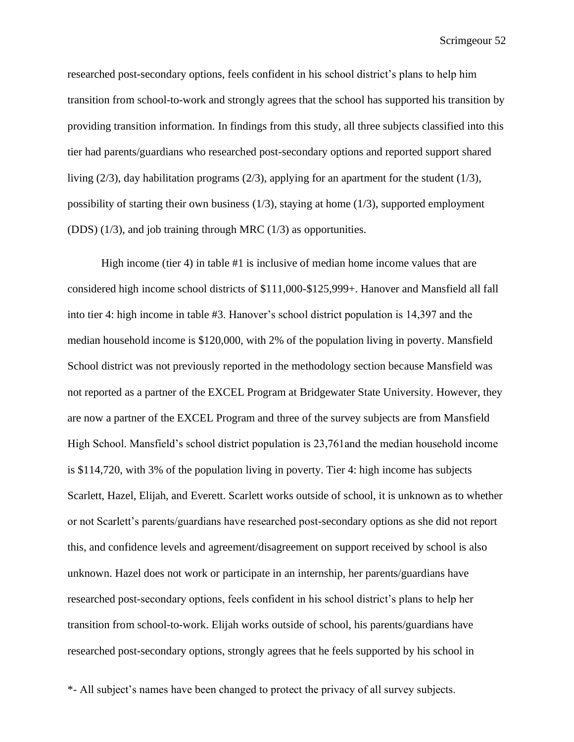researched post-secondary options, feels confident in his school district's plans to help him transition from school-to-work and strongly agrees that the school has supported his transition by providing transition information. In findings from this study, all three subjects classified into this tier had parents/guardians who researched post-secondary options and reported support shared living (2/3), day habilitation programs (2/3), applying for an apartment for the student (1/3), possibility of starting their own business (1/3), staying at home (1/3), supported employment (DDS) (1/3), and job training through MRC (1/3) as opportunities.

High income (tier 4) in table #1 is inclusive of median home income values that are considered high income school districts of \$111,000-\$125,999+. Hanover and Mansfield all fall into tier 4: high income in table #3. Hanover's school district population is 14,397 and the median household income is \$120,000, with 2% of the population living in poverty. Mansfield School district was not previously reported in the methodology section because Mansfield was not reported as a partner of the EXCEL Program at Bridgewater State University. However, they are now a partner of the EXCEL Program and three of the survey subjects are from Mansfield High School. Mansfield's school district population is 23,761 and the median household income is \$114,720, with 3% of the population living in poverty. Tier 4: high income has subjects Scarlett, Hazel, Elijah, and Everett. Scarlett works outside of school, it is unknown as to whether or not Scarlett's parents/guardians have researched post-secondary options as she did not report this, and confidence levels and agreement/disagreement on support received by school is also unknown. Hazel does not work or participate in an internship, her parents/guardians have researched post-secondary options, feels confident in his school district's plans to help her transition from school-to-work. Elijah works outside of school, his parents/guardians have researched post-secondary options, strongly agrees that he feels supported by his school in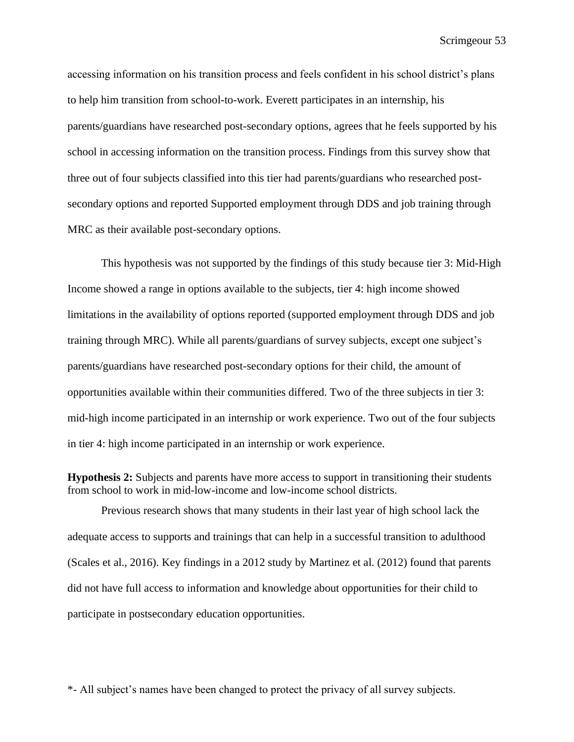accessing information on his transition process and feels confident in his school district's plans to help him transition from school-to-work. Everett participates in an internship, his parents/guardians have researched post-secondary options, agrees that he feels supported by his school in accessing information on the transition process. Findings from this survey show that three out of four subjects classified into this tier had parents/guardians who researched postsecondary options and reported Supported employment through DDS and job training through MRC as their available post-secondary options.

This hypothesis was not supported by the findings of this study because tier 3: Mid-High Income showed a range in options available to the subjects, tier 4: high income showed limitations in the availability of options reported (supported employment through DDS and job training through MRC). While all parents/guardians of survey subjects, except one subject's parents/guardians have researched post-secondary options for their child, the amount of opportunities available within their communities differed. Two of the three subjects in tier 3: mid-high income participated in an internship or work experience. Two out of the four subjects in tier 4: high income participated in an internship or work experience.

**Hypothesis 2:** Subjects and parents have more access to support in transitioning their students from school to work in mid-low-income and low-income school districts.

Previous research shows that many students in their last year of high school lack the adequate access to supports and trainings that can help in a successful transition to adulthood (Scales et al., 2016). Key findings in a 2012 study by Martinez et al. (2012) found that parents did not have full access to information and knowledge about opportunities for their child to participate in postsecondary education opportunities.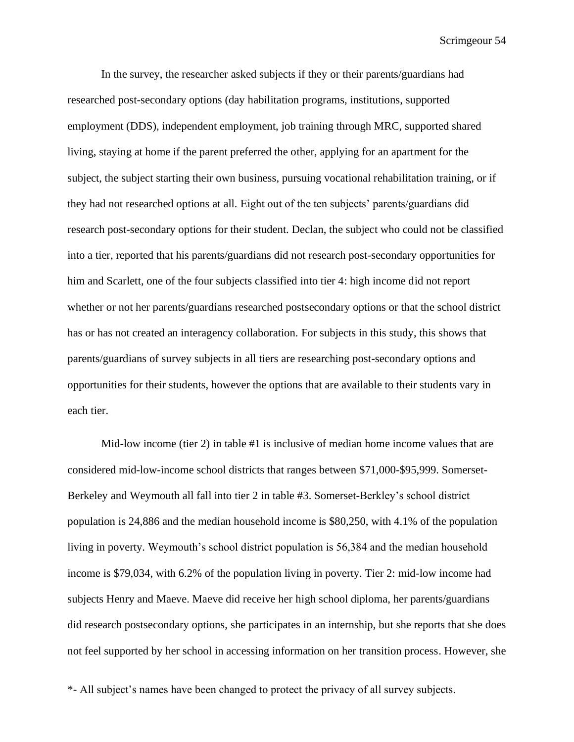In the survey, the researcher asked subjects if they or their parents/guardians had researched post-secondary options (day habilitation programs, institutions, supported employment (DDS), independent employment, job training through MRC, supported shared living, staying at home if the parent preferred the other, applying for an apartment for the subject, the subject starting their own business, pursuing vocational rehabilitation training, or if they had not researched options at all. Eight out of the ten subjects' parents/guardians did research post-secondary options for their student. Declan, the subject who could not be classified into a tier, reported that his parents/guardians did not research post-secondary opportunities for him and Scarlett, one of the four subjects classified into tier 4: high income did not report whether or not her parents/guardians researched postsecondary options or that the school district has or has not created an interagency collaboration. For subjects in this study, this shows that parents/guardians of survey subjects in all tiers are researching post-secondary options and opportunities for their students, however the options that are available to their students vary in each tier.

Mid-low income (tier 2) in table #1 is inclusive of median home income values that are considered mid-low-income school districts that ranges between \$71,000-\$95,999. Somerset-Berkeley and Weymouth all fall into tier 2 in table #3. Somerset-Berkley's school district population is 24,886 and the median household income is \$80,250, with 4.1% of the population living in poverty. Weymouth's school district population is 56,384 and the median household income is \$79,034, with 6.2% of the population living in poverty. Tier 2: mid-low income had subjects Henry and Maeve. Maeve did receive her high school diploma, her parents/guardians did research postsecondary options, she participates in an internship, but she reports that she does not feel supported by her school in accessing information on her transition process. However, she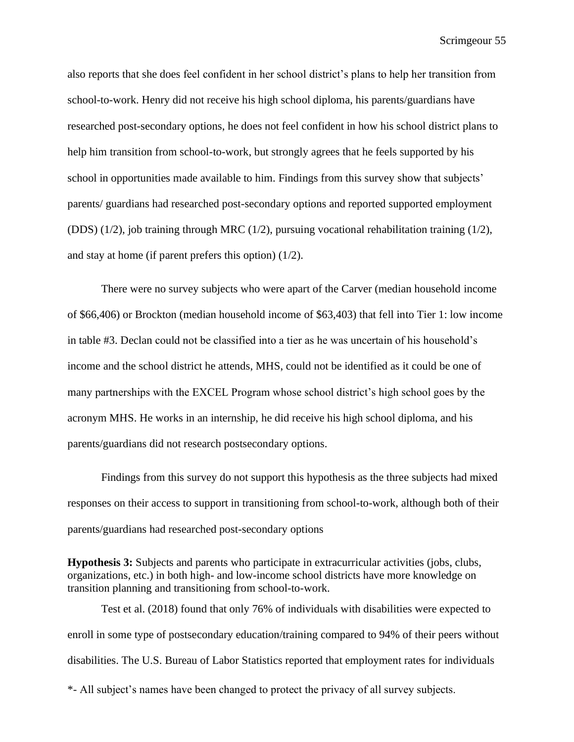also reports that she does feel confident in her school district's plans to help her transition from school-to-work. Henry did not receive his high school diploma, his parents/guardians have researched post-secondary options, he does not feel confident in how his school district plans to help him transition from school-to-work, but strongly agrees that he feels supported by his school in opportunities made available to him. Findings from this survey show that subjects' parents/ guardians had researched post-secondary options and reported supported employment (DDS) (1/2), job training through MRC (1/2), pursuing vocational rehabilitation training (1/2), and stay at home (if parent prefers this option) (1/2).

There were no survey subjects who were apart of the Carver (median household income of \$66,406) or Brockton (median household income of \$63,403) that fell into Tier 1: low income in table #3. Declan could not be classified into a tier as he was uncertain of his household's income and the school district he attends, MHS, could not be identified as it could be one of many partnerships with the EXCEL Program whose school district's high school goes by the acronym MHS. He works in an internship, he did receive his high school diploma, and his parents/guardians did not research postsecondary options.

Findings from this survey do not support this hypothesis as the three subjects had mixed responses on their access to support in transitioning from school-to-work, although both of their parents/guardians had researched post-secondary options

**Hypothesis 3:** Subjects and parents who participate in extracurricular activities (jobs, clubs, organizations, etc.) in both high- and low-income school districts have more knowledge on transition planning and transitioning from school-to-work.

\*- All subject's names have been changed to protect the privacy of all survey subjects. Test et al. (2018) found that only 76% of individuals with disabilities were expected to enroll in some type of postsecondary education/training compared to 94% of their peers without disabilities. The U.S. Bureau of Labor Statistics reported that employment rates for individuals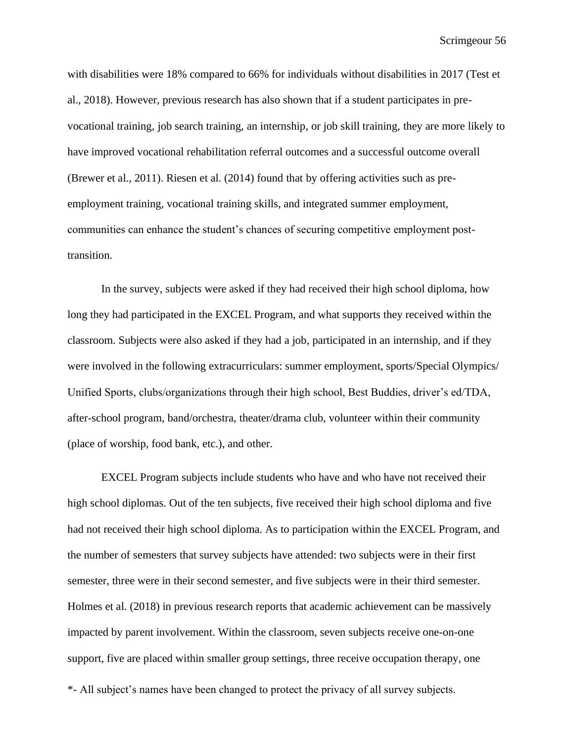with disabilities were 18% compared to 66% for individuals without disabilities in 2017 (Test et al., 2018). However, previous research has also shown that if a student participates in prevocational training, job search training, an internship, or job skill training, they are more likely to have improved vocational rehabilitation referral outcomes and a successful outcome overall (Brewer et al., 2011). Riesen et al. (2014) found that by offering activities such as preemployment training, vocational training skills, and integrated summer employment, communities can enhance the student's chances of securing competitive employment posttransition.

In the survey, subjects were asked if they had received their high school diploma, how long they had participated in the EXCEL Program, and what supports they received within the classroom. Subjects were also asked if they had a job, participated in an internship, and if they were involved in the following extracurriculars: summer employment, sports/Special Olympics/ Unified Sports, clubs/organizations through their high school, Best Buddies, driver's ed/TDA, after-school program, band/orchestra, theater/drama club, volunteer within their community (place of worship, food bank, etc.), and other.

EXCEL Program subjects include students who have and who have not received their high school diplomas. Out of the ten subjects, five received their high school diploma and five had not received their high school diploma. As to participation within the EXCEL Program, and the number of semesters that survey subjects have attended: two subjects were in their first semester, three were in their second semester, and five subjects were in their third semester. Holmes et al. (2018) in previous research reports that academic achievement can be massively impacted by parent involvement. Within the classroom, seven subjects receive one-on-one support, five are placed within smaller group settings, three receive occupation therapy, one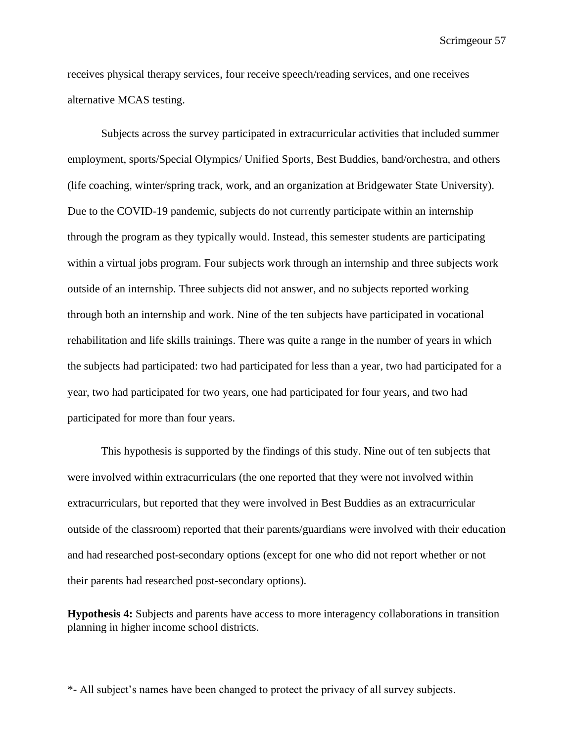receives physical therapy services, four receive speech/reading services, and one receives alternative MCAS testing.

Subjects across the survey participated in extracurricular activities that included summer employment, sports/Special Olympics/ Unified Sports, Best Buddies, band/orchestra, and others (life coaching, winter/spring track, work, and an organization at Bridgewater State University). Due to the COVID-19 pandemic, subjects do not currently participate within an internship through the program as they typically would. Instead, this semester students are participating within a virtual jobs program. Four subjects work through an internship and three subjects work outside of an internship. Three subjects did not answer, and no subjects reported working through both an internship and work. Nine of the ten subjects have participated in vocational rehabilitation and life skills trainings. There was quite a range in the number of years in which the subjects had participated: two had participated for less than a year, two had participated for a year, two had participated for two years, one had participated for four years, and two had participated for more than four years.

This hypothesis is supported by the findings of this study. Nine out of ten subjects that were involved within extracurriculars (the one reported that they were not involved within extracurriculars, but reported that they were involved in Best Buddies as an extracurricular outside of the classroom) reported that their parents/guardians were involved with their education and had researched post-secondary options (except for one who did not report whether or not their parents had researched post-secondary options).

**Hypothesis 4:** Subjects and parents have access to more interagency collaborations in transition planning in higher income school districts.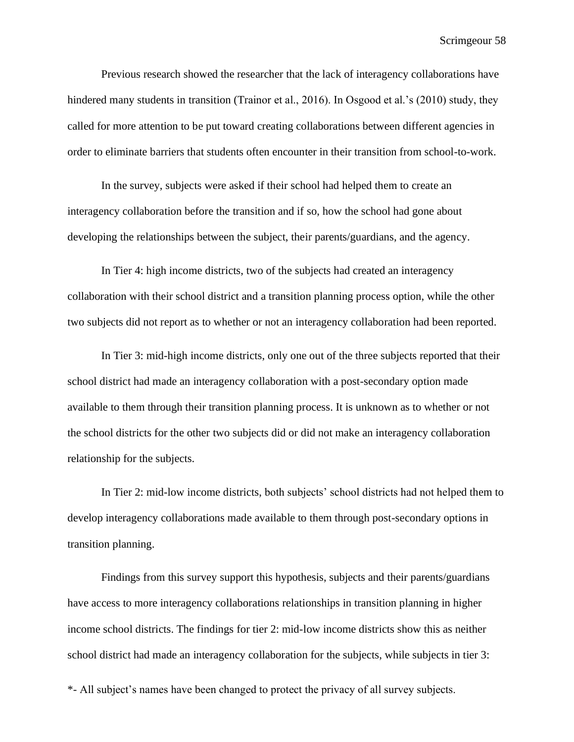Previous research showed the researcher that the lack of interagency collaborations have hindered many students in transition (Trainor et al., 2016). In Osgood et al.'s (2010) study, they called for more attention to be put toward creating collaborations between different agencies in order to eliminate barriers that students often encounter in their transition from school-to-work.

In the survey, subjects were asked if their school had helped them to create an interagency collaboration before the transition and if so, how the school had gone about developing the relationships between the subject, their parents/guardians, and the agency.

In Tier 4: high income districts, two of the subjects had created an interagency collaboration with their school district and a transition planning process option, while the other two subjects did not report as to whether or not an interagency collaboration had been reported.

In Tier 3: mid-high income districts, only one out of the three subjects reported that their school district had made an interagency collaboration with a post-secondary option made available to them through their transition planning process. It is unknown as to whether or not the school districts for the other two subjects did or did not make an interagency collaboration relationship for the subjects.

In Tier 2: mid-low income districts, both subjects' school districts had not helped them to develop interagency collaborations made available to them through post-secondary options in transition planning.

Findings from this survey support this hypothesis, subjects and their parents/guardians have access to more interagency collaborations relationships in transition planning in higher income school districts. The findings for tier 2: mid-low income districts show this as neither school district had made an interagency collaboration for the subjects, while subjects in tier 3: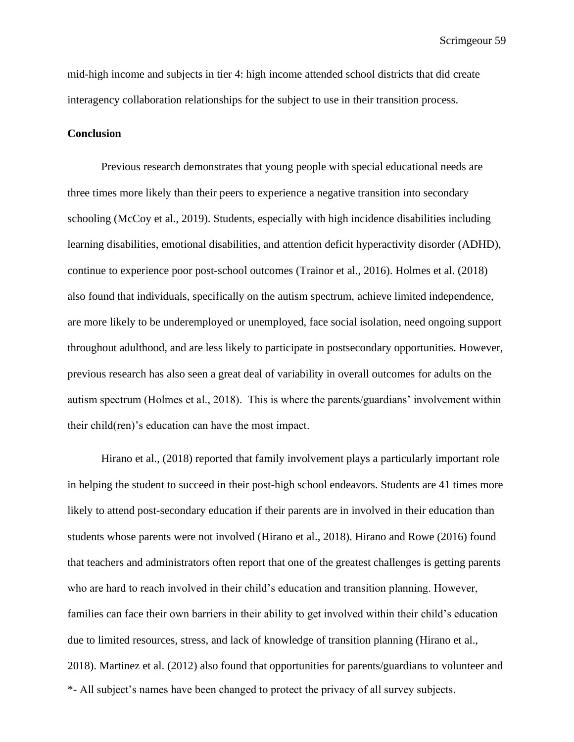mid-high income and subjects in tier 4: high income attended school districts that did create interagency collaboration relationships for the subject to use in their transition process.

#### **Conclusion**

Previous research demonstrates that young people with special educational needs are three times more likely than their peers to experience a negative transition into secondary schooling (McCoy et al., 2019). Students, especially with high incidence disabilities including learning disabilities, emotional disabilities, and attention deficit hyperactivity disorder (ADHD), continue to experience poor post-school outcomes (Trainor et al., 2016). Holmes et al. (2018) also found that individuals, specifically on the autism spectrum, achieve limited independence, are more likely to be underemployed or unemployed, face social isolation, need ongoing support throughout adulthood, and are less likely to participate in postsecondary opportunities. However, previous research has also seen a great deal of variability in overall outcomes for adults on the autism spectrum (Holmes et al., 2018). This is where the parents/guardians' involvement within their child(ren)'s education can have the most impact.

\*- All subject's names have been changed to protect the privacy of all survey subjects. Hirano et al., (2018) reported that family involvement plays a particularly important role in helping the student to succeed in their post-high school endeavors. Students are 41 times more likely to attend post-secondary education if their parents are in involved in their education than students whose parents were not involved (Hirano et al., 2018). Hirano and Rowe (2016) found that teachers and administrators often report that one of the greatest challenges is getting parents who are hard to reach involved in their child's education and transition planning. However, families can face their own barriers in their ability to get involved within their child's education due to limited resources, stress, and lack of knowledge of transition planning (Hirano et al., 2018). Martinez et al. (2012) also found that opportunities for parents/guardians to volunteer and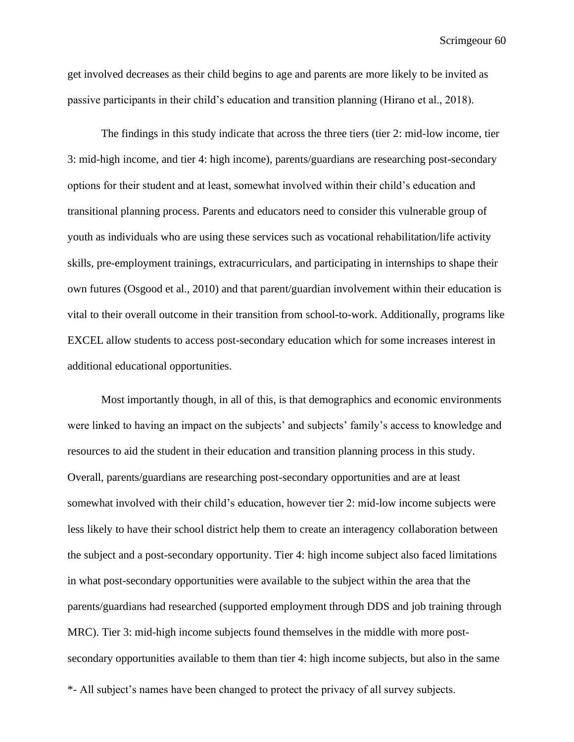get involved decreases as their child begins to age and parents are more likely to be invited as passive participants in their child's education and transition planning (Hirano et al., 2018).

The findings in this study indicate that across the three tiers (tier 2: mid-low income, tier 3: mid-high income, and tier 4: high income), parents/guardians are researching post-secondary options for their student and at least, somewhat involved within their child's education and transitional planning process. Parents and educators need to consider this vulnerable group of youth as individuals who are using these services such as vocational rehabilitation/life activity skills, pre-employment trainings, extracurriculars, and participating in internships to shape their own futures (Osgood et al., 2010) and that parent/guardian involvement within their education is vital to their overall outcome in their transition from school-to-work. Additionally, programs like EXCEL allow students to access post-secondary education which for some increases interest in additional educational opportunities.

Most importantly though, in all of this, is that demographics and economic environments were linked to having an impact on the subjects' and subjects' family's access to knowledge and resources to aid the student in their education and transition planning process in this study. Overall, parents/guardians are researching post-secondary opportunities and are at least somewhat involved with their child's education, however tier 2: mid-low income subjects were less likely to have their school district help them to create an interagency collaboration between the subject and a post-secondary opportunity. Tier 4: high income subject also faced limitations in what post-secondary opportunities were available to the subject within the area that the parents/guardians had researched (supported employment through DDS and job training through MRC). Tier 3: mid-high income subjects found themselves in the middle with more postsecondary opportunities available to them than tier 4: high income subjects, but also in the same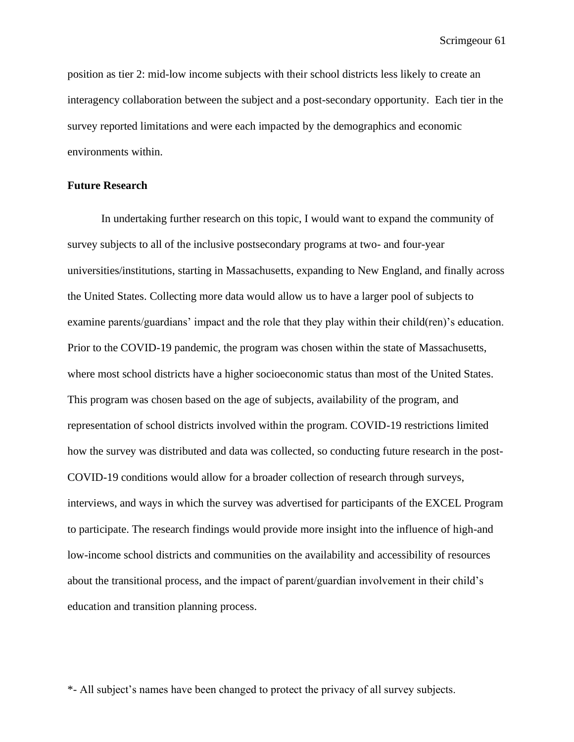position as tier 2: mid-low income subjects with their school districts less likely to create an interagency collaboration between the subject and a post-secondary opportunity. Each tier in the survey reported limitations and were each impacted by the demographics and economic environments within.

#### **Future Research**

In undertaking further research on this topic, I would want to expand the community of survey subjects to all of the inclusive postsecondary programs at two- and four-year universities/institutions, starting in Massachusetts, expanding to New England, and finally across the United States. Collecting more data would allow us to have a larger pool of subjects to examine parents/guardians' impact and the role that they play within their child(ren)'s education. Prior to the COVID-19 pandemic, the program was chosen within the state of Massachusetts, where most school districts have a higher socioeconomic status than most of the United States. This program was chosen based on the age of subjects, availability of the program, and representation of school districts involved within the program. COVID-19 restrictions limited how the survey was distributed and data was collected, so conducting future research in the post-COVID-19 conditions would allow for a broader collection of research through surveys, interviews, and ways in which the survey was advertised for participants of the EXCEL Program to participate. The research findings would provide more insight into the influence of high-and low-income school districts and communities on the availability and accessibility of resources about the transitional process, and the impact of parent/guardian involvement in their child's education and transition planning process.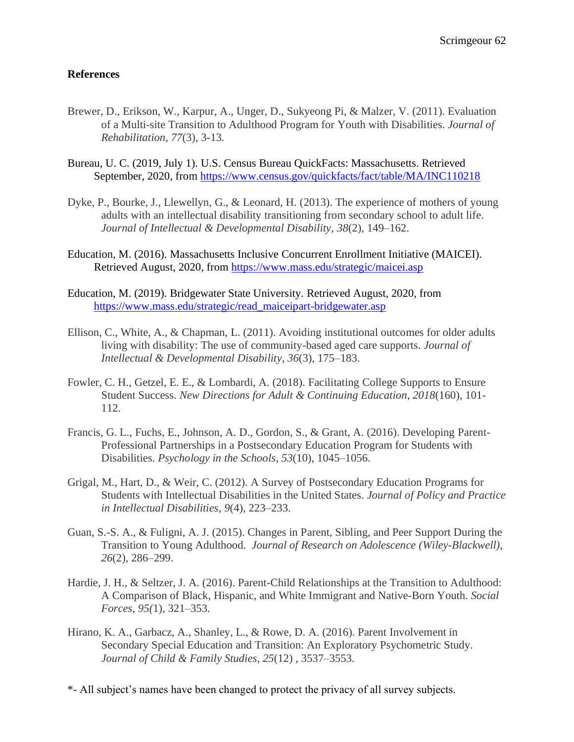### **References**

- Brewer, D., Erikson, W., Karpur, A., Unger, D., Sukyeong Pi, & Malzer, V. (2011). Evaluation of a Multi-site Transition to Adulthood Program for Youth with Disabilities. *Journal of Rehabilitation, 77*(3), 3-13*.*
- Bureau, U. C. (2019, July 1). U.S. Census Bureau QuickFacts: Massachusetts. Retrieved September, 2020, from<https://www.census.gov/quickfacts/fact/table/MA/INC110218>
- Dyke, P., Bourke, J., Llewellyn, G., & Leonard, H. (2013). The experience of mothers of young adults with an intellectual disability transitioning from secondary school to adult life. *Journal of Intellectual & Developmental Disability*, *38*(2), 149–162.
- Education, M. (2016). Massachusetts Inclusive Concurrent Enrollment Initiative (MAICEI). Retrieved August, 2020, from<https://www.mass.edu/strategic/maicei.asp>
- Education, M. (2019). Bridgewater State University. Retrieved August, 2020, from [https://www.mass.edu/strategic/read\\_maiceipart-bridgewater.asp](https://www.mass.edu/strategic/read_maiceipart-bridgewater.asp)
- Ellison, C., White, A., & Chapman, L. (2011). Avoiding institutional outcomes for older adults living with disability: The use of community-based aged care supports. *Journal of Intellectual & Developmental Disability*, *36*(3), 175–183.
- Fowler, C. H., Getzel, E. E., & Lombardi, A. (2018). Facilitating College Supports to Ensure Student Success. *New Directions for Adult & Continuing Education*, *2018*(160), 101- 112.
- Francis, G. L., Fuchs, E., Johnson, A. D., Gordon, S., & Grant, A. (2016). Developing Parent-Professional Partnerships in a Postsecondary Education Program for Students with Disabilities. *Psychology in the Schools*, *53*(10), 1045–1056.
- Grigal, M., Hart, D., & Weir, C. (2012). A Survey of Postsecondary Education Programs for Students with Intellectual Disabilities in the United States. *Journal of Policy and Practice in Intellectual Disabilities, 9*(4), 223–233.
- Guan, S.-S. A., & Fuligni, A. J. (2015). Changes in Parent, Sibling, and Peer Support During the Transition to Young Adulthood. *Journal of Research on Adolescence (Wiley-Blackwell)*, *26*(2), 286–299.
- Hardie, J. H., & Seltzer, J. A. (2016). Parent-Child Relationships at the Transition to Adulthood: A Comparison of Black, Hispanic, and White Immigrant and Native-Born Youth. *Social Forces*, *95(*1), 321–353.
- Hirano, K. A., Garbacz, A., Shanley, L., & Rowe, D. A. (2016). Parent Involvement in Secondary Special Education and Transition: An Exploratory Psychometric Study. *Journal of Child & Family Studies*, *25*(12) , 3537–3553.
- \*- All subject's names have been changed to protect the privacy of all survey subjects.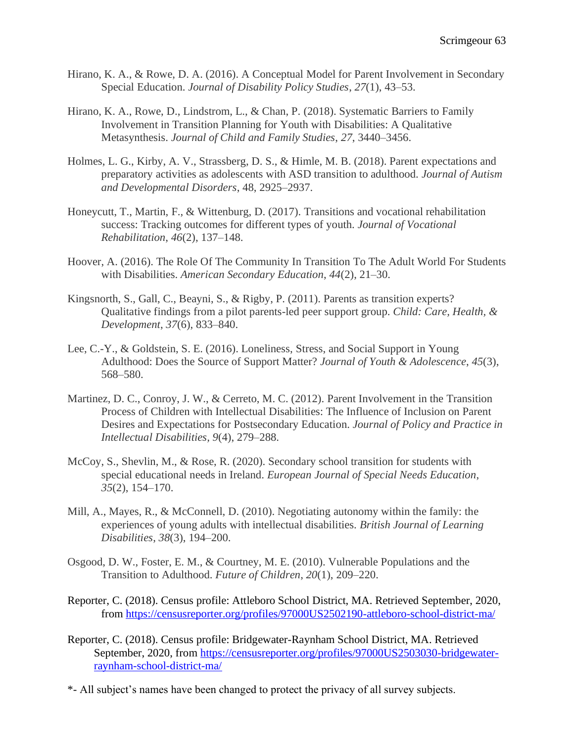- Hirano, K. A., & Rowe, D. A. (2016). A Conceptual Model for Parent Involvement in Secondary Special Education. *Journal of Disability Policy Studies*, *27*(1), 43–53.
- Hirano, K. A., Rowe, D., Lindstrom, L., & Chan, P. (2018). Systematic Barriers to Family Involvement in Transition Planning for Youth with Disabilities: A Qualitative Metasynthesis. *Journal of Child and Family Studies*, *27*, 3440–3456.
- Holmes, L. G., Kirby, A. V., Strassberg, D. S., & Himle, M. B. (2018). Parent expectations and preparatory activities as adolescents with ASD transition to adulthood. *Journal of Autism and Developmental Disorders*, 48, 2925–2937.
- Honeycutt, T., Martin, F., & Wittenburg, D. (2017). Transitions and vocational rehabilitation success: Tracking outcomes for different types of youth. *Journal of Vocational Rehabilitation*, *46*(2), 137–148.
- Hoover, A. (2016). The Role Of The Community In Transition To The Adult World For Students with Disabilities. *American Secondary Education*, *44*(2), 21–30.
- Kingsnorth, S., Gall, C., Beayni, S., & Rigby, P. (2011). Parents as transition experts? Qualitative findings from a pilot parents-led peer support group. *Child: Care, Health, & Development*, *37*(6), 833–840.
- Lee, C.-Y., & Goldstein, S. E. (2016). Loneliness, Stress, and Social Support in Young Adulthood: Does the Source of Support Matter? *Journal of Youth & Adolescence*, *45*(3), 568–580.
- Martinez, D. C., Conroy, J. W., & Cerreto, M. C. (2012). Parent Involvement in the Transition Process of Children with Intellectual Disabilities: The Influence of Inclusion on Parent Desires and Expectations for Postsecondary Education. *Journal of Policy and Practice in Intellectual Disabilities, 9*(4), 279–288.
- McCoy, S., Shevlin, M., & Rose, R. (2020). Secondary school transition for students with special educational needs in Ireland. *European Journal of Special Needs Education*, *35*(2), 154–170.
- Mill, A., Mayes, R., & McConnell, D. (2010). Negotiating autonomy within the family: the experiences of young adults with intellectual disabilities. *British Journal of Learning Disabilities*, *38*(3), 194–200.
- Osgood, D. W., Foster, E. M., & Courtney, M. E. (2010). Vulnerable Populations and the Transition to Adulthood. *Future of Children*, *20*(1), 209–220.
- Reporter, C. (2018). Census profile: Attleboro School District, MA. Retrieved September, 2020, from<https://censusreporter.org/profiles/97000US2502190-attleboro-school-district-ma/>
- Reporter, C. (2018). Census profile: Bridgewater-Raynham School District, MA. Retrieved September, 2020, from [https://censusreporter.org/profiles/97000US2503030-bridgewater](https://censusreporter.org/profiles/97000US2503030-bridgewater-raynham-school-district-ma/)[raynham-school-district-ma/](https://censusreporter.org/profiles/97000US2503030-bridgewater-raynham-school-district-ma/)
- \*- All subject's names have been changed to protect the privacy of all survey subjects.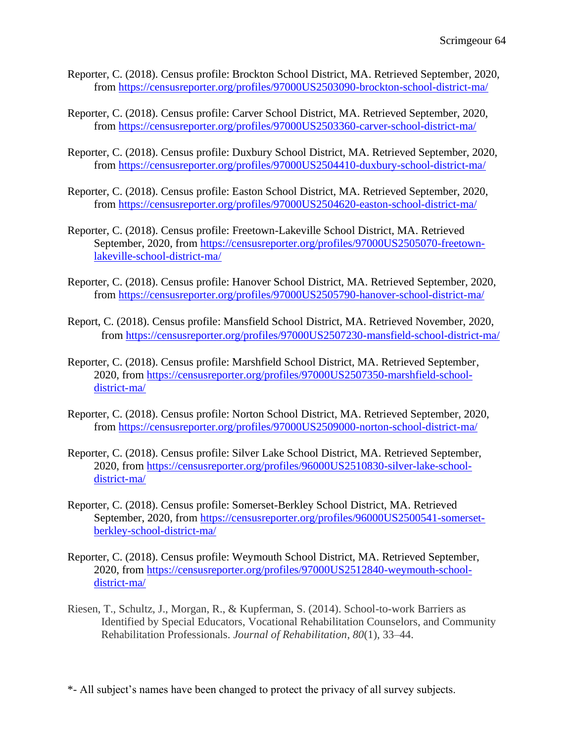- Reporter, C. (2018). Census profile: Brockton School District, MA. Retrieved September, 2020, from<https://censusreporter.org/profiles/97000US2503090-brockton-school-district-ma/>
- Reporter, C. (2018). Census profile: Carver School District, MA. Retrieved September, 2020, from<https://censusreporter.org/profiles/97000US2503360-carver-school-district-ma/>
- Reporter, C. (2018). Census profile: Duxbury School District, MA. Retrieved September, 2020, from<https://censusreporter.org/profiles/97000US2504410-duxbury-school-district-ma/>
- Reporter, C. (2018). Census profile: Easton School District, MA. Retrieved September, 2020, from<https://censusreporter.org/profiles/97000US2504620-easton-school-district-ma/>
- Reporter, C. (2018). Census profile: Freetown-Lakeville School District, MA. Retrieved September, 2020, from [https://censusreporter.org/profiles/97000US2505070-freetown](https://censusreporter.org/profiles/97000US2505070-freetown-lakeville-school-district-ma/)[lakeville-school-district-ma/](https://censusreporter.org/profiles/97000US2505070-freetown-lakeville-school-district-ma/)
- Reporter, C. (2018). Census profile: Hanover School District, MA. Retrieved September, 2020, from<https://censusreporter.org/profiles/97000US2505790-hanover-school-district-ma/>
- Report, C. (2018). Census profile: Mansfield School District, MA. Retrieved November, 2020, from<https://censusreporter.org/profiles/97000US2507230-mansfield-school-district-ma/>
- Reporter, C. (2018). Census profile: Marshfield School District, MA. Retrieved September, 2020, from [https://censusreporter.org/profiles/97000US2507350-marshfield-school](https://censusreporter.org/profiles/97000US2507350-marshfield-school-district-ma/)[district-ma/](https://censusreporter.org/profiles/97000US2507350-marshfield-school-district-ma/)
- Reporter, C. (2018). Census profile: Norton School District, MA. Retrieved September, 2020, from<https://censusreporter.org/profiles/97000US2509000-norton-school-district-ma/>
- Reporter, C. (2018). Census profile: Silver Lake School District, MA. Retrieved September, 2020, from [https://censusreporter.org/profiles/96000US2510830-silver-lake-school](https://censusreporter.org/profiles/96000US2510830-silver-lake-school-district-ma/)[district-ma/](https://censusreporter.org/profiles/96000US2510830-silver-lake-school-district-ma/)
- Reporter, C. (2018). Census profile: Somerset-Berkley School District, MA. Retrieved September, 2020, from [https://censusreporter.org/profiles/96000US2500541-somerset](https://censusreporter.org/profiles/96000US2500541-somerset-berkley-school-district-ma/)[berkley-school-district-ma/](https://censusreporter.org/profiles/96000US2500541-somerset-berkley-school-district-ma/)
- Reporter, C. (2018). Census profile: Weymouth School District, MA. Retrieved September, 2020, from [https://censusreporter.org/profiles/97000US2512840-weymouth-school](https://censusreporter.org/profiles/97000US2512840-weymouth-school-district-ma/)[district-ma/](https://censusreporter.org/profiles/97000US2512840-weymouth-school-district-ma/)
- Riesen, T., Schultz, J., Morgan, R., & Kupferman, S. (2014). School-to-work Barriers as Identified by Special Educators, Vocational Rehabilitation Counselors, and Community Rehabilitation Professionals. *Journal of Rehabilitation*, *80*(1), 33–44.
- \*- All subject's names have been changed to protect the privacy of all survey subjects.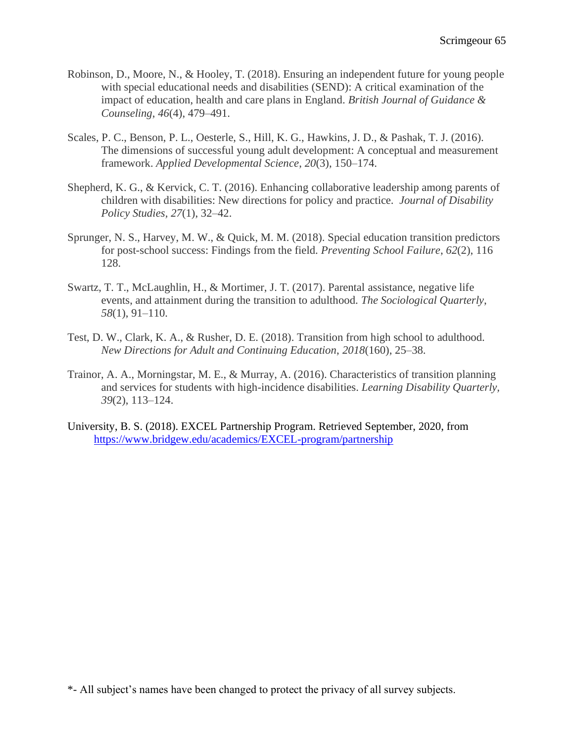- Robinson, D., Moore, N., & Hooley, T. (2018). Ensuring an independent future for young people with special educational needs and disabilities (SEND): A critical examination of the impact of education, health and care plans in England. *British Journal of Guidance & Counseling*, *46*(4), 479–491.
- Scales, P. C., Benson, P. L., Oesterle, S., Hill, K. G., Hawkins, J. D., & Pashak, T. J. (2016). The dimensions of successful young adult development: A conceptual and measurement framework. *Applied Developmental Science*, *20*(3), 150–174.
- Shepherd, K. G., & Kervick, C. T. (2016). Enhancing collaborative leadership among parents of children with disabilities: New directions for policy and practice. *Journal of Disability Policy Studies, 27*(1), 32–42.
- Sprunger, N. S., Harvey, M. W., & Quick, M. M. (2018). Special education transition predictors for post-school success: Findings from the field. *Preventing School Failure*, *62*(2), 116 128.
- Swartz, T. T., McLaughlin, H., & Mortimer, J. T. (2017). Parental assistance, negative life events, and attainment during the transition to adulthood. *The Sociological Quarterly*, *58*(1), 91–110.
- Test, D. W., Clark, K. A., & Rusher, D. E. (2018). Transition from high school to adulthood. *New Directions for Adult and Continuing Education*, *2018*(160), 25–38.
- Trainor, A. A., Morningstar, M. E., & Murray, A. (2016). Characteristics of transition planning and services for students with high-incidence disabilities. *Learning Disability Quarterly, 39*(2), 113–124.
- University, B. S. (2018). EXCEL Partnership Program. Retrieved September, 2020, from <https://www.bridgew.edu/academics/EXCEL-program/partnership>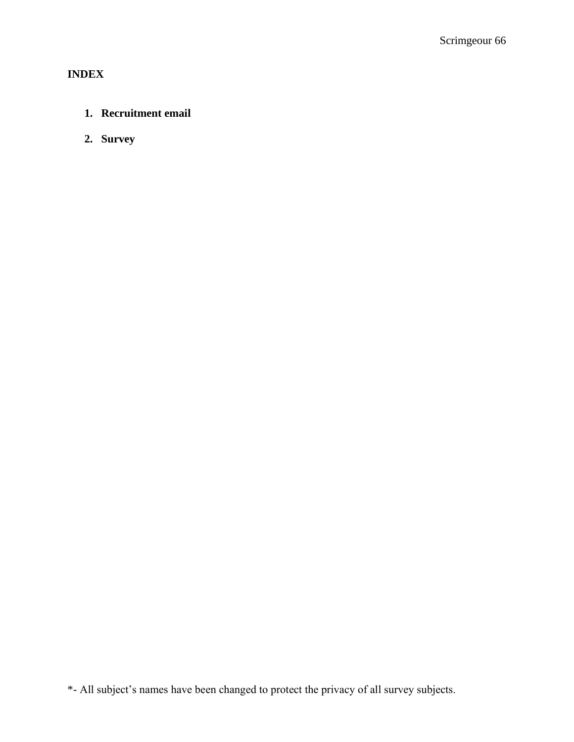# **INDEX**

# **1. Recruitment email**

**2. Survey**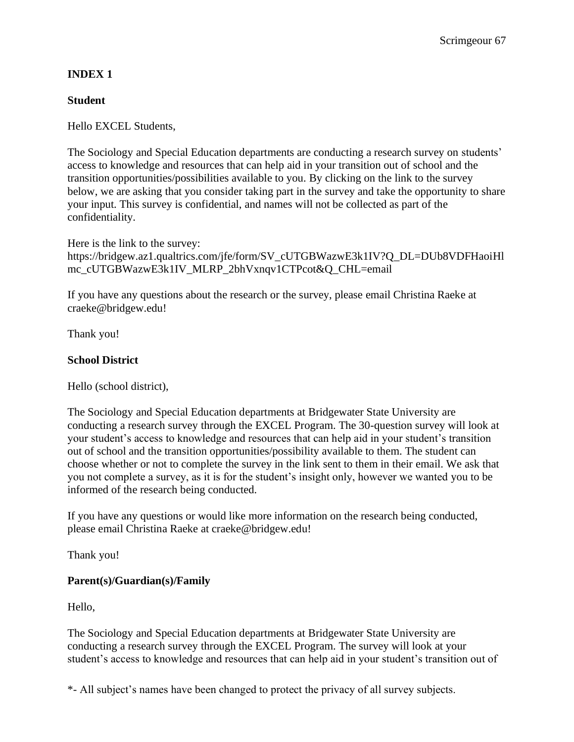# **INDEX 1**

### **Student**

Hello EXCEL Students,

The Sociology and Special Education departments are conducting a research survey on students' access to knowledge and resources that can help aid in your transition out of school and the transition opportunities/possibilities available to you. By clicking on the link to the survey below, we are asking that you consider taking part in the survey and take the opportunity to share your input. This survey is confidential, and names will not be collected as part of the confidentiality.

Here is the link to the survey: https://bridgew.az1.qualtrics.com/jfe/form/SV\_cUTGBWazwE3k1IV?Q\_DL=DUb8VDFHaoiHl mc\_cUTGBWazwE3k1IV\_MLRP\_2bhVxnqv1CTPcot&Q\_CHL=email

If you have any questions about the research or the survey, please email Christina Raeke at craeke@bridgew.edu!

Thank you!

### **School District**

Hello (school district),

The Sociology and Special Education departments at Bridgewater State University are conducting a research survey through the EXCEL Program. The 30-question survey will look at your student's access to knowledge and resources that can help aid in your student's transition out of school and the transition opportunities/possibility available to them. The student can choose whether or not to complete the survey in the link sent to them in their email. We ask that you not complete a survey, as it is for the student's insight only, however we wanted you to be informed of the research being conducted.

If you have any questions or would like more information on the research being conducted, please email Christina Raeke at craeke@bridgew.edu!

Thank you!

### **Parent(s)/Guardian(s)/Family**

Hello,

The Sociology and Special Education departments at Bridgewater State University are conducting a research survey through the EXCEL Program. The survey will look at your student's access to knowledge and resources that can help aid in your student's transition out of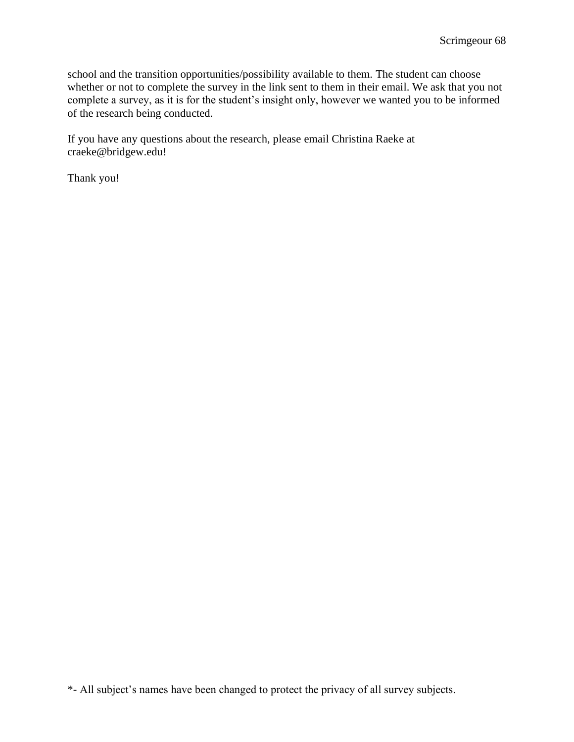school and the transition opportunities/possibility available to them. The student can choose whether or not to complete the survey in the link sent to them in their email. We ask that you not complete a survey, as it is for the student's insight only, however we wanted you to be informed of the research being conducted.

If you have any questions about the research, please email Christina Raeke at craeke@bridgew.edu!

Thank you!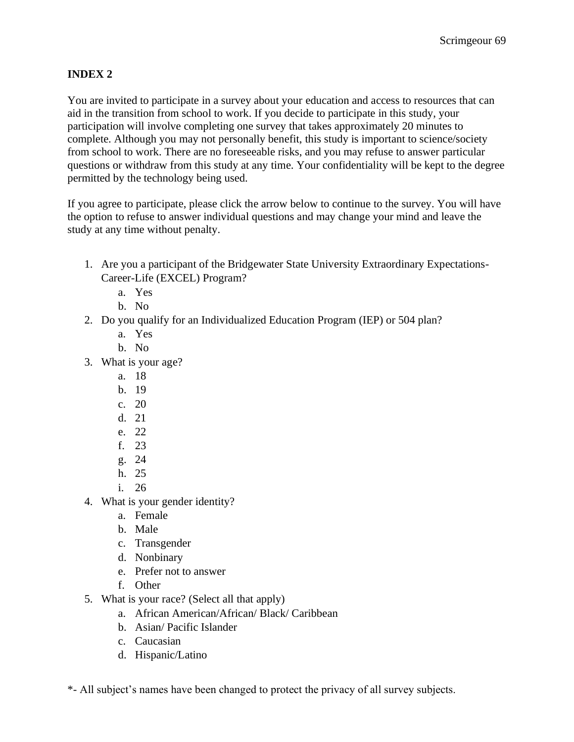## **INDEX 2**

You are invited to participate in a survey about your education and access to resources that can aid in the transition from school to work. If you decide to participate in this study, your participation will involve completing one survey that takes approximately 20 minutes to complete. Although you may not personally benefit, this study is important to science/society from school to work. There are no foreseeable risks, and you may refuse to answer particular questions or withdraw from this study at any time. Your confidentiality will be kept to the degree permitted by the technology being used.

If you agree to participate, please click the arrow below to continue to the survey. You will have the option to refuse to answer individual questions and may change your mind and leave the study at any time without penalty.

- 1. Are you a participant of the Bridgewater State University Extraordinary Expectations-Career-Life (EXCEL) Program?
	- a. Yes
	- b. No
- 2. Do you qualify for an Individualized Education Program (IEP) or 504 plan?
	- a. Yes
	- b. No
- 3. What is your age?
	- a. 18
	- b. 19
	- c. 20
	- d. 21
	- e. 22
	- f. 23
	- g. 24
	- h. 25
	- i. 26
- 4. What is your gender identity?
	- a. Female
	- b. Male
	- c. Transgender
	- d. Nonbinary
	- e. Prefer not to answer
	- f. Other
- 5. What is your race? (Select all that apply)
	- a. African American/African/ Black/ Caribbean
	- b. Asian/ Pacific Islander
	- c. Caucasian
	- d. Hispanic/Latino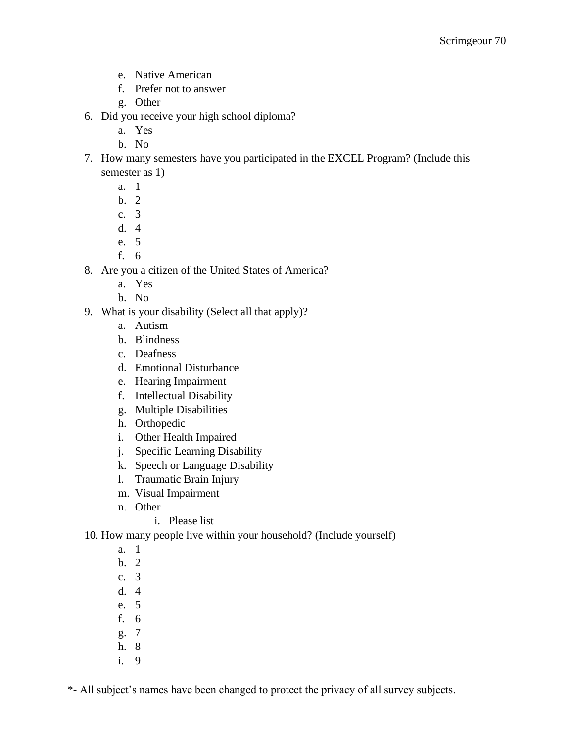- e. Native American
- f. Prefer not to answer
- g. Other
- 6. Did you receive your high school diploma?
	- a. Yes
	- b. No
- 7. How many semesters have you participated in the EXCEL Program? (Include this semester as 1)
	- a. 1
	- b. 2
	- c. 3
	- d. 4
	- e. 5
	- f. 6
- 8. Are you a citizen of the United States of America?
	- a. Yes
	- b. No
- 9. What is your disability (Select all that apply)?
	- a. Autism
	- b. Blindness
	- c. Deafness
	- d. Emotional Disturbance
	- e. Hearing Impairment
	- f. Intellectual Disability
	- g. Multiple Disabilities
	- h. Orthopedic
	- i. Other Health Impaired
	- j. Specific Learning Disability
	- k. Speech or Language Disability
	- l. Traumatic Brain Injury
	- m. Visual Impairment
	- n. Other
		- i. Please list
- 10. How many people live within your household? (Include yourself)
	- a. 1
	- b. 2
	- c. 3
	- d. 4
	- e. 5
	- f. 6
	- g. 7
	- h. 8
	- i. 9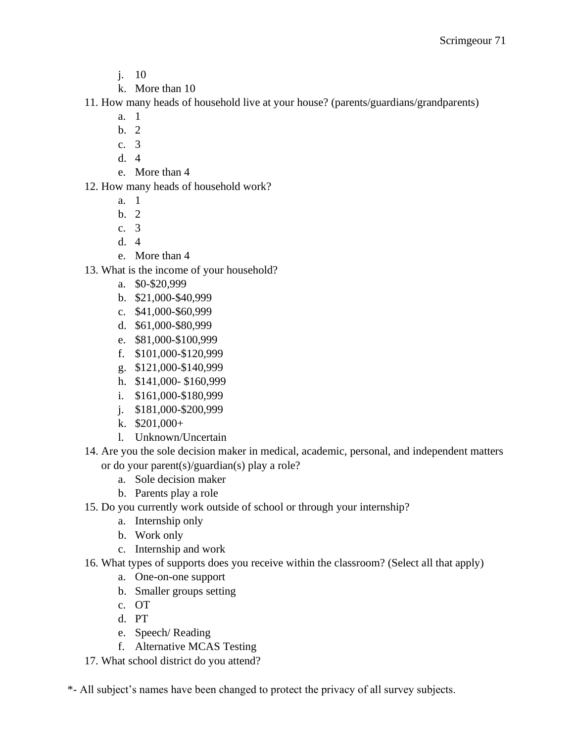- j. 10
- k. More than 10

11. How many heads of household live at your house? (parents/guardians/grandparents)

- a. 1
- b. 2
- c. 3
- d. 4
- e. More than 4
- 12. How many heads of household work?
	- a. 1
	- b. 2
	- c. 3
	- d. 4
	- e. More than 4
- 13. What is the income of your household?
	- a. \$0-\$20,999
	- b. \$21,000-\$40,999
	- c. \$41,000-\$60,999
	- d. \$61,000-\$80,999
	- e. \$81,000-\$100,999
	- f. \$101,000-\$120,999
	- g. \$121,000-\$140,999
	- h. \$141,000- \$160,999
	- i. \$161,000-\$180,999
	- j. \$181,000-\$200,999
	- k. \$201,000+
	- l. Unknown/Uncertain
- 14. Are you the sole decision maker in medical, academic, personal, and independent matters or do your parent(s)/guardian(s) play a role?
	- a. Sole decision maker
	- b. Parents play a role
- 15. Do you currently work outside of school or through your internship?
	- a. Internship only
	- b. Work only
	- c. Internship and work
- 16. What types of supports does you receive within the classroom? (Select all that apply)
	- a. One-on-one support
	- b. Smaller groups setting
	- c. OT
	- d. PT
	- e. Speech/ Reading
	- f. Alternative MCAS Testing
- 17. What school district do you attend?
- \*- All subject's names have been changed to protect the privacy of all survey subjects.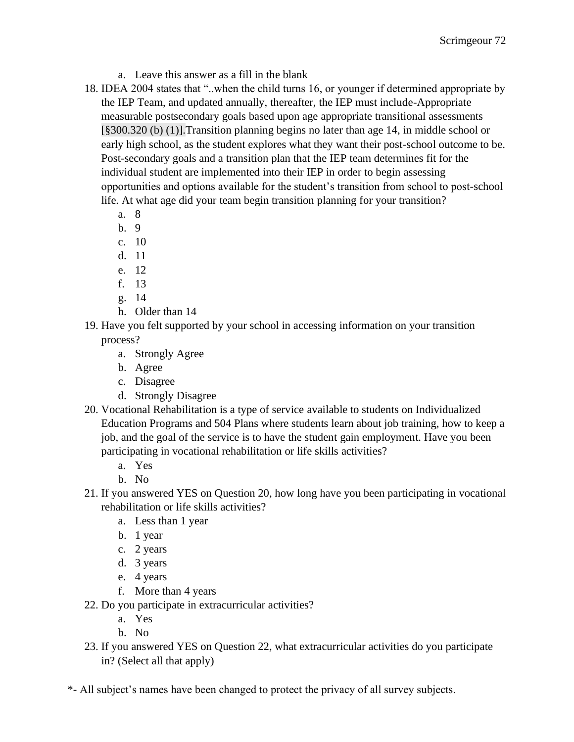- a. Leave this answer as a fill in the blank
- 18. IDEA 2004 states that "..when the child turns 16, or younger if determined appropriate by the IEP Team, and updated annually, thereafter, the IEP must include-Appropriate measurable postsecondary goals based upon age appropriate transitional assessments [§300.320 (b) (1)].Transition planning begins no later than age 14, in middle school or early high school, as the student explores what they want their post-school outcome to be. Post-secondary goals and a transition plan that the IEP team determines fit for the individual student are implemented into their IEP in order to begin assessing opportunities and options available for the student's transition from school to post-school life. At what age did your team begin transition planning for your transition?
	- a. 8
	- b. 9
	- c. 10
	- d. 11
	- e. 12
	- f. 13
	- g. 14
	- h. Older than 14
- 19. Have you felt supported by your school in accessing information on your transition process?
	- a. Strongly Agree
	- b. Agree
	- c. Disagree
	- d. Strongly Disagree
- 20. Vocational Rehabilitation is a type of service available to students on Individualized Education Programs and 504 Plans where students learn about job training, how to keep a job, and the goal of the service is to have the student gain employment. Have you been participating in vocational rehabilitation or life skills activities?
	- a. Yes
	- b. No
- 21. If you answered YES on Question 20, how long have you been participating in vocational rehabilitation or life skills activities?
	- a. Less than 1 year
	- b. 1 year
	- c. 2 years
	- d. 3 years
	- e. 4 years
	- f. More than 4 years
- 22. Do you participate in extracurricular activities?
	- a. Yes
	- b. No
- 23. If you answered YES on Question 22, what extracurricular activities do you participate in? (Select all that apply)
- \*- All subject's names have been changed to protect the privacy of all survey subjects.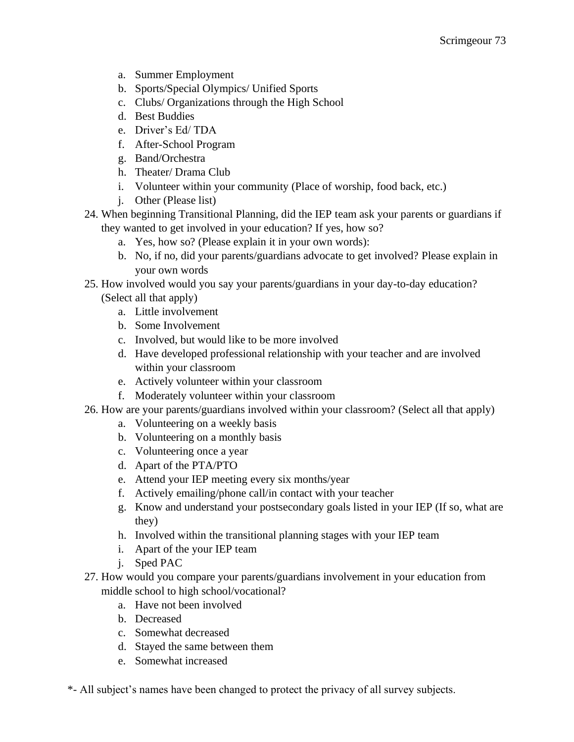- a. Summer Employment
- b. Sports/Special Olympics/ Unified Sports
- c. Clubs/ Organizations through the High School
- d. Best Buddies
- e. Driver's Ed/ TDA
- f. After-School Program
- g. Band/Orchestra
- h. Theater/ Drama Club
- i. Volunteer within your community (Place of worship, food back, etc.)
- j. Other (Please list)
- 24. When beginning Transitional Planning, did the IEP team ask your parents or guardians if they wanted to get involved in your education? If yes, how so?
	- a. Yes, how so? (Please explain it in your own words):
	- b. No, if no, did your parents/guardians advocate to get involved? Please explain in your own words
- 25. How involved would you say your parents/guardians in your day-to-day education? (Select all that apply)
	- a. Little involvement
	- b. Some Involvement
	- c. Involved, but would like to be more involved
	- d. Have developed professional relationship with your teacher and are involved within your classroom
	- e. Actively volunteer within your classroom
	- f. Moderately volunteer within your classroom
- 26. How are your parents/guardians involved within your classroom? (Select all that apply)
	- a. Volunteering on a weekly basis
	- b. Volunteering on a monthly basis
	- c. Volunteering once a year
	- d. Apart of the PTA/PTO
	- e. Attend your IEP meeting every six months/year
	- f. Actively emailing/phone call/in contact with your teacher
	- g. Know and understand your postsecondary goals listed in your IEP (If so, what are they)
	- h. Involved within the transitional planning stages with your IEP team
	- i. Apart of the your IEP team
	- j. Sped PAC
- 27. How would you compare your parents/guardians involvement in your education from middle school to high school/vocational?
	- a. Have not been involved
	- b. Decreased
	- c. Somewhat decreased
	- d. Stayed the same between them
	- e. Somewhat increased
- \*- All subject's names have been changed to protect the privacy of all survey subjects.